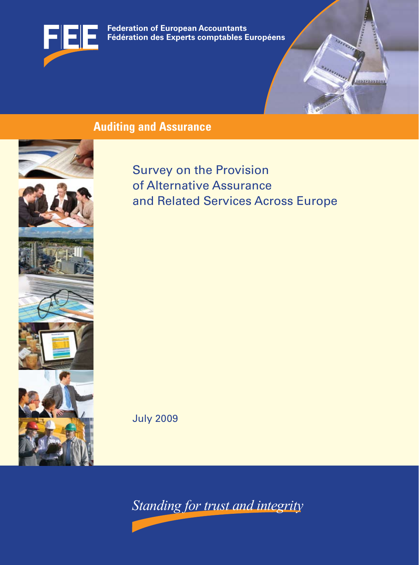

**Federation of European Accountants Fédération des Experts comptables Européens Fédération des Experts comptables Européens Federation of European Accountants**

# **Auditing and Assurance**







Survey on the Provision of Alternative Assurance and Related Services Across Europe <u>iabresavrae</u>r

July 2009

*Standing for trust and integrity*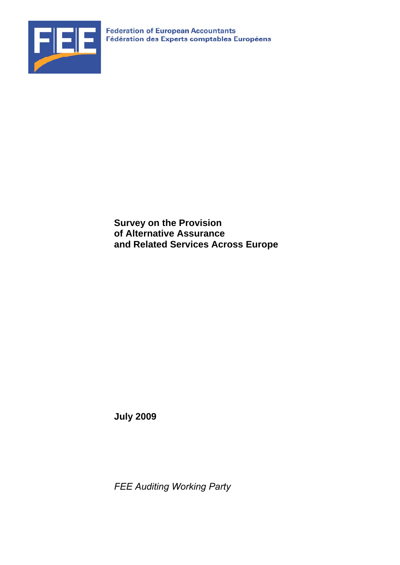

**Survey on the Provision of Alternative Assurance and Related Services Across Europe** 

**July 2009** 

*FEE Auditing Working Party*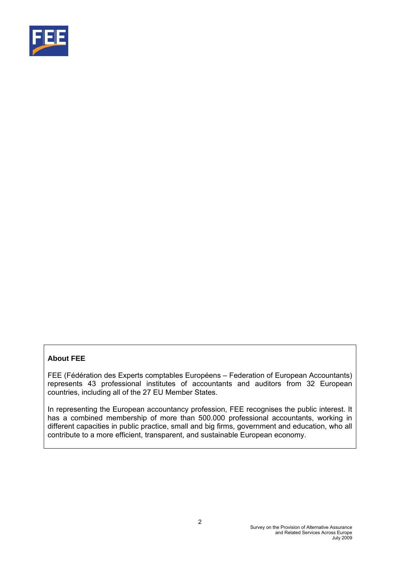

# **About FEE**

FEE (Fédération des Experts comptables Européens – Federation of European Accountants) represents 43 professional institutes of accountants and auditors from 32 European countries, including all of the 27 EU Member States.

In representing the European accountancy profession, FEE recognises the public interest. It has a combined membership of more than 500.000 professional accountants, working in different capacities in public practice, small and big firms, government and education, who all contribute to a more efficient, transparent, and sustainable European economy.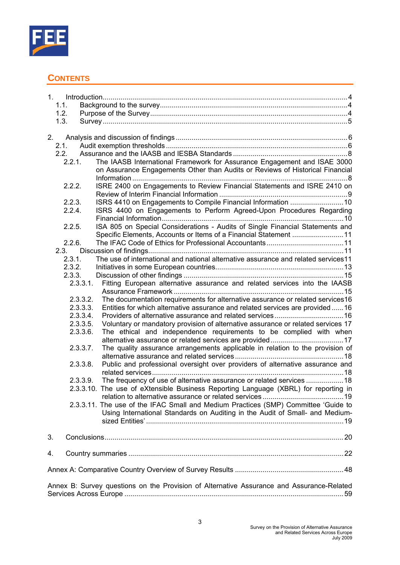

# **CONTENTS**

|    | 1.1.             |                                                                                              |
|----|------------------|----------------------------------------------------------------------------------------------|
|    | 1.2.             |                                                                                              |
|    | 1.3.             |                                                                                              |
|    |                  |                                                                                              |
| 2. |                  |                                                                                              |
|    | 2.1.             |                                                                                              |
|    | 2.2.             |                                                                                              |
|    | 2.2.1.           | The IAASB International Framework for Assurance Engagement and ISAE 3000                     |
|    |                  | on Assurance Engagements Other than Audits or Reviews of Historical Financial                |
|    |                  |                                                                                              |
|    | 2.2.2.           | ISRE 2400 on Engagements to Review Financial Statements and ISRE 2410 on                     |
|    |                  |                                                                                              |
|    | 2.2.3.           |                                                                                              |
|    | 2.2.4.           | ISRS 4400 on Engagements to Perform Agreed-Upon Procedures Regarding                         |
|    |                  |                                                                                              |
|    | 2.2.5.           | ISA 805 on Special Considerations - Audits of Single Financial Statements and                |
|    |                  | Specific Elements, Accounts or Items of a Financial Statement 11                             |
|    | 2.2.6.           |                                                                                              |
|    | 2.3.             | The use of international and national alternative assurance and related services11           |
|    | 2.3.1.           |                                                                                              |
|    | 2.3.2.<br>2.3.3. |                                                                                              |
|    |                  | Fitting European alternative assurance and related services into the IAASB<br>2.3.3.1.       |
|    |                  |                                                                                              |
|    |                  | The documentation requirements for alternative assurance or related services16<br>2.3.3.2.   |
|    |                  | Entities for which alternative assurance and related services are provided 16<br>2.3.3.3.    |
|    |                  | 2.3.3.4.                                                                                     |
|    |                  | Voluntary or mandatory provision of alternative assurance or related services 17<br>2.3.3.5. |
|    |                  | The ethical and independence requirements to be complied with when<br>2.3.3.6.               |
|    |                  |                                                                                              |
|    |                  | The quality assurance arrangements applicable in relation to the provision of<br>2.3.3.7.    |
|    |                  |                                                                                              |
|    |                  | Public and professional oversight over providers of alternative assurance and<br>2.3.3.8.    |
|    |                  |                                                                                              |
|    |                  | The frequency of use of alternative assurance or related services  18<br>2.3.3.9.            |
|    |                  | 2.3.3.10. The use of eXtensible Business Reporting Language (XBRL) for reporting in          |
|    |                  |                                                                                              |
|    |                  | 2.3.3.11. The use of the IFAC Small and Medium Practices (SMP) Committee 'Guide to           |
|    |                  | Using International Standards on Auditing in the Audit of Small- and Medium-                 |
|    |                  |                                                                                              |
|    |                  |                                                                                              |
| 3. |                  |                                                                                              |
|    |                  |                                                                                              |
| 4. |                  |                                                                                              |
|    |                  |                                                                                              |
|    |                  |                                                                                              |
|    |                  | Annex B: Survey questions on the Provision of Alternative Assurance and Assurance-Related    |
|    |                  |                                                                                              |
|    |                  |                                                                                              |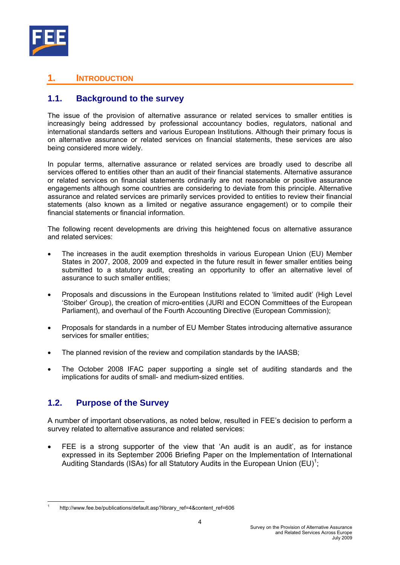

# **1. INTRODUCTION**

# **1.1. Background to the survey**

The issue of the provision of alternative assurance or related services to smaller entities is increasingly being addressed by professional accountancy bodies, regulators, national and international standards setters and various European Institutions. Although their primary focus is on alternative assurance or related services on financial statements, these services are also being considered more widely.

In popular terms, alternative assurance or related services are broadly used to describe all services offered to entities other than an audit of their financial statements. Alternative assurance or related services on financial statements ordinarily are not reasonable or positive assurance engagements although some countries are considering to deviate from this principle. Alternative assurance and related services are primarily services provided to entities to review their financial statements (also known as a limited or negative assurance engagement) or to compile their financial statements or financial information.

The following recent developments are driving this heightened focus on alternative assurance and related services:

- The increases in the audit exemption thresholds in various European Union (EU) Member States in 2007, 2008, 2009 and expected in the future result in fewer smaller entities being submitted to a statutory audit, creating an opportunity to offer an alternative level of assurance to such smaller entities;
- Proposals and discussions in the European Institutions related to 'limited audit' (High Level 'Stoiber' Group), the creation of micro-entities (JURI and ECON Committees of the European Parliament), and overhaul of the Fourth Accounting Directive (European Commission);
- Proposals for standards in a number of EU Member States introducing alternative assurance services for smaller entities:
- The planned revision of the review and compilation standards by the IAASB;
- The October 2008 IFAC paper supporting a single set of auditing standards and the implications for audits of small- and medium-sized entities.

# **1.2. Purpose of the Survey**

A number of important observations, as noted below, resulted in FEE's decision to perform a survey related to alternative assurance and related services:

FEE is a strong supporter of the view that 'An audit is an audit', as for instance expressed in its September 2006 Briefing Paper on the Implementation of International Auditing Standards (ISAs) for all Statutory Audits in the European Union  $(EU)^1$ ;

<sup>1</sup> 1 http://www.fee.be/publications/default.asp?library\_ref=4&content\_ref=606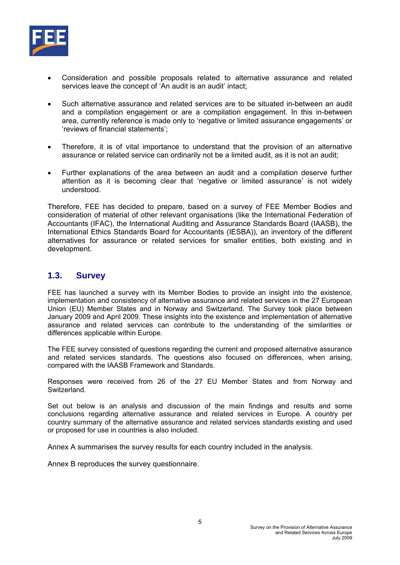

- Consideration and possible proposals related to alternative assurance and related services leave the concept of 'An audit is an audit' intact;
- Such alternative assurance and related services are to be situated in-between an audit and a compilation engagement or are a compilation engagement. In this in-between area, currently reference is made only to 'negative or limited assurance engagements' or 'reviews of financial statements';
- Therefore, it is of vital importance to understand that the provision of an alternative assurance or related service can ordinarily not be a limited audit, as it is not an audit;
- Further explanations of the area between an audit and a compilation deserve further attention as it is becoming clear that 'negative or limited assurance' is not widely understood.

Therefore, FEE has decided to prepare, based on a survey of FEE Member Bodies and consideration of material of other relevant organisations (like the International Federation of Accountants (IFAC), the International Auditing and Assurance Standards Board (IAASB), the International Ethics Standards Board for Accountants (IESBA)), an inventory of the different alternatives for assurance or related services for smaller entities, both existing and in development.

# **1.3. Survey**

FEE has launched a survey with its Member Bodies to provide an insight into the existence, implementation and consistency of alternative assurance and related services in the 27 European Union (EU) Member States and in Norway and Switzerland. The Survey took place between January 2009 and April 2009. These insights into the existence and implementation of alternative assurance and related services can contribute to the understanding of the similarities or differences applicable within Europe.

The FEE survey consisted of questions regarding the current and proposed alternative assurance and related services standards. The questions also focused on differences, when arising, compared with the IAASB Framework and Standards.

Responses were received from 26 of the 27 EU Member States and from Norway and Switzerland.

Set out below is an analysis and discussion of the main findings and results and some conclusions regarding alternative assurance and related services in Europe. A country per country summary of the alternative assurance and related services standards existing and used or proposed for use in countries is also included.

Annex A summarises the survey results for each country included in the analysis.

Annex B reproduces the survey questionnaire.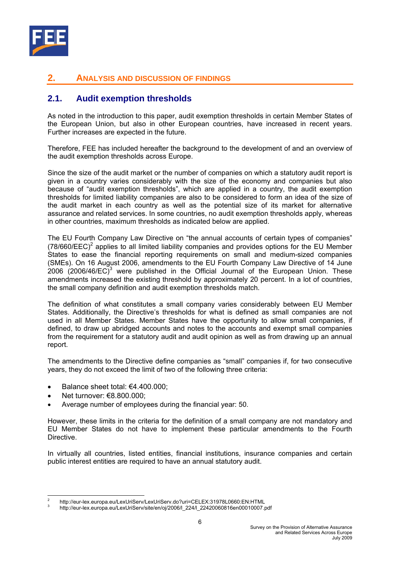

# **2. ANALYSIS AND DISCUSSION OF FINDINGS**

# **2.1. Audit exemption thresholds**

As noted in the introduction to this paper, audit exemption thresholds in certain Member States of the European Union, but also in other European countries, have increased in recent years. Further increases are expected in the future.

Therefore, FEE has included hereafter the background to the development of and an overview of the audit exemption thresholds across Europe.

Since the size of the audit market or the number of companies on which a statutory audit report is given in a country varies considerably with the size of the economy and companies but also because of "audit exemption thresholds", which are applied in a country, the audit exemption thresholds for limited liability companies are also to be considered to form an idea of the size of the audit market in each country as well as the potential size of its market for alternative assurance and related services. In some countries, no audit exemption thresholds apply, whereas in other countries, maximum thresholds as indicated below are applied.

The EU Fourth Company Law Directive on "the annual accounts of certain types of companies"  $(78/660/EEC)^2$  applies to all limited liability companies and provides options for the EU Member States to ease the financial reporting requirements on small and medium-sized companies (SMEs). On 16 August 2006, amendments to the EU Fourth Company Law Directive of 14 June  $2006$  (2006/46/EC)<sup>3</sup> were published in the Official Journal of the European Union. These amendments increased the existing threshold by approximately 20 percent. In a lot of countries, the small company definition and audit exemption thresholds match.

The definition of what constitutes a small company varies considerably between EU Member States. Additionally, the Directive's thresholds for what is defined as small companies are not used in all Member States. Member States have the opportunity to allow small companies, if defined, to draw up abridged accounts and notes to the accounts and exempt small companies from the requirement for a statutory audit and audit opinion as well as from drawing up an annual report.

The amendments to the Directive define companies as "small" companies if, for two consecutive years, they do not exceed the limit of two of the following three criteria:

- Balance sheet total: €4.400.000;
- Net turnover: €8.800.000;
- Average number of employees during the financial year: 50.

However, these limits in the criteria for the definition of a small company are not mandatory and EU Member States do not have to implement these particular amendments to the Fourth Directive.

In virtually all countries, listed entities, financial institutions, insurance companies and certain public interest entities are required to have an annual statutory audit.

<sup>1</sup> 2 http://eur-lex.europa.eu/LexUriServ/LexUriServ.do?uri=CELEX:31978L0660:EN:HTML

<sup>3</sup> http://eur-lex.europa.eu/LexUriServ/site/en/oj/2006/l\_224/l\_22420060816en00010007.pdf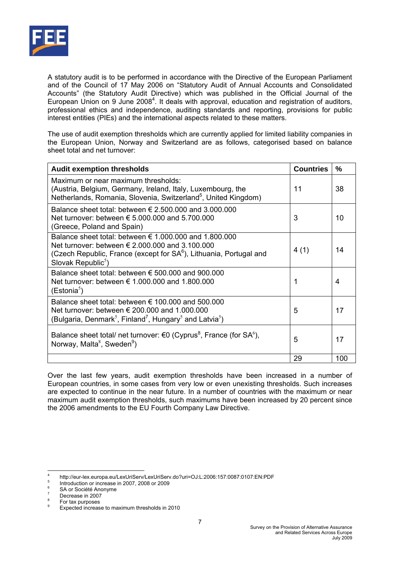

A statutory audit is to be performed in accordance with the Directive of the European Parliament and of the Council of 17 May 2006 on "Statutory Audit of Annual Accounts and Consolidated Accounts" (the Statutory Audit Directive) which was published in the Official Journal of the European Union on 9 June 2008<sup>4</sup>. It deals with approval, education and registration of auditors, professional ethics and independence, auditing standards and reporting, provisions for public interest entities (PIEs) and the international aspects related to these matters.

The use of audit exemption thresholds which are currently applied for limited liability companies in the European Union, Norway and Switzerland are as follows, categorised based on balance sheet total and net turnover:

| <b>Audit exemption thresholds</b>                                                                                                                                                                                                      | <b>Countries</b> | %   |
|----------------------------------------------------------------------------------------------------------------------------------------------------------------------------------------------------------------------------------------|------------------|-----|
| Maximum or near maximum thresholds:<br>(Austria, Belgium, Germany, Ireland, Italy, Luxembourg, the<br>Netherlands, Romania, Slovenia, Switzerland <sup>5</sup> , United Kingdom)                                                       | 11               | 38  |
| Balance sheet total: between $\epsilon$ 2.500.000 and 3.000.000<br>Net turnover: between € 5,000,000 and 5,700,000<br>(Greece, Poland and Spain)                                                                                       | 3                | 10  |
| Balance sheet total: between $\epsilon$ 1.000.000 and 1.800.000<br>Net turnover: between € 2,000,000 and 3,100,000<br>(Czech Republic, France (except for SA <sup>6</sup> ), Lithuania, Portugal and<br>Slovak Republic <sup>5</sup> ) | 4(1)             | 14  |
| Balance sheet total: between $\epsilon$ 500.000 and 900.000<br>Net turnover: between € 1,000,000 and 1,800,000<br>(Estonia <sup>5</sup> )                                                                                              |                  | 4   |
| Balance sheet total: between $\epsilon$ 100,000 and 500,000<br>Net turnover: between $\epsilon$ 200,000 and 1,000,000<br>(Bulgaria, Denmark <sup>5</sup> , Finland <sup>7</sup> , Hungary <sup>5</sup> and Latvia <sup>5</sup> )       | 5                | 17  |
| Balance sheet total/ net turnover: €0 (Cyprus <sup>8</sup> , France (for SA <sup>6</sup> ),<br>Norway, Malta <sup>8</sup> , Sweden <sup>9</sup> )                                                                                      | 5                | 17  |
|                                                                                                                                                                                                                                        | 29               | 100 |

Over the last few years, audit exemption thresholds have been increased in a number of European countries, in some cases from very low or even unexisting thresholds. Such increases are expected to continue in the near future. In a number of countries with the maximum or near maximum audit exemption thresholds, such maximums have been increased by 20 percent since the 2006 amendments to the EU Fourth Company Law Directive.

 $\frac{1}{4}$ http://eur-lex.europa.eu/LexUriServ/LexUriServ.do?uri=OJ:L:2006:157:0087:0107:EN:PDF 5

Introduction or increase in 2007, 2008 or 2009 6

SA or Société Anonyme 7

Decrease in 2007 8

For tax purposes  $\alpha$ 

Expected increase to maximum thresholds in 2010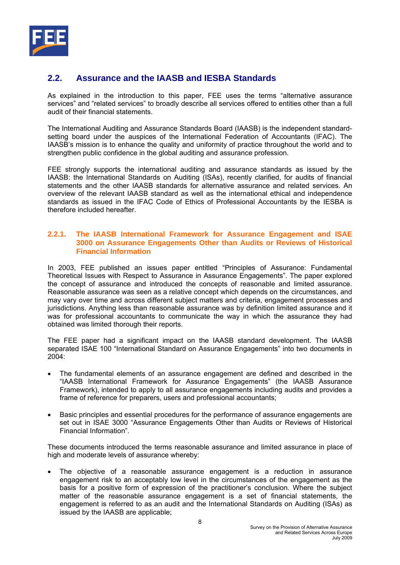

# **2.2. Assurance and the IAASB and IESBA Standards**

As explained in the introduction to this paper, FEE uses the terms "alternative assurance services" and "related services" to broadly describe all services offered to entities other than a full audit of their financial statements.

The International Auditing and Assurance Standards Board (IAASB) is the independent standardsetting board under the auspices of the International Federation of Accountants (IFAC). The IAASB's mission is to enhance the quality and uniformity of practice throughout the world and to strengthen public confidence in the global auditing and assurance profession.

FEE strongly supports the international auditing and assurance standards as issued by the IAASB: the International Standards on Auditing (ISAs), recently clarified, for audits of financial statements and the other IAASB standards for alternative assurance and related services. An overview of the relevant IAASB standard as well as the international ethical and independence standards as issued in the IFAC Code of Ethics of Professional Accountants by the IESBA is therefore included hereafter.

## **2.2.1. The IAASB International Framework for Assurance Engagement and ISAE 3000 on Assurance Engagements Other than Audits or Reviews of Historical Financial Information**

In 2003, FEE published an issues paper entitled "Principles of Assurance: Fundamental Theoretical Issues with Respect to Assurance in Assurance Engagements". The paper explored the concept of assurance and introduced the concepts of reasonable and limited assurance. Reasonable assurance was seen as a relative concept which depends on the circumstances, and may vary over time and across different subject matters and criteria, engagement processes and jurisdictions. Anything less than reasonable assurance was by definition limited assurance and it was for professional accountants to communicate the way in which the assurance they had obtained was limited thorough their reports.

The FEE paper had a significant impact on the IAASB standard development. The IAASB separated ISAE 100 "International Standard on Assurance Engagements" into two documents in 2004:

- The fundamental elements of an assurance engagement are defined and described in the "IAASB International Framework for Assurance Engagements" (the IAASB Assurance Framework), intended to apply to all assurance engagements including audits and provides a frame of reference for preparers, users and professional accountants;
- Basic principles and essential procedures for the performance of assurance engagements are set out in ISAE 3000 "Assurance Engagements Other than Audits or Reviews of Historical Financial Information".

These documents introduced the terms reasonable assurance and limited assurance in place of high and moderate levels of assurance whereby:

• The objective of a reasonable assurance engagement is a reduction in assurance engagement risk to an acceptably low level in the circumstances of the engagement as the basis for a positive form of expression of the practitioner's conclusion. Where the subject matter of the reasonable assurance engagement is a set of financial statements, the engagement is referred to as an audit and the International Standards on Auditing (ISAs) as issued by the IAASB are applicable;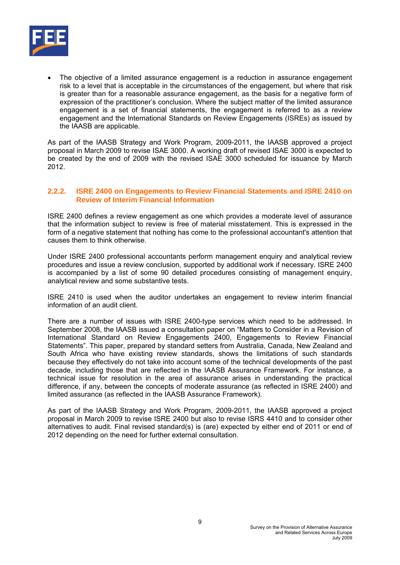

The objective of a limited assurance engagement is a reduction in assurance engagement risk to a level that is acceptable in the circumstances of the engagement, but where that risk is greater than for a reasonable assurance engagement, as the basis for a negative form of expression of the practitioner's conclusion. Where the subject matter of the limited assurance engagement is a set of financial statements, the engagement is referred to as a review engagement and the International Standards on Review Engagements (ISREs) as issued by the IAASB are applicable.

As part of the IAASB Strategy and Work Program, 2009-2011, the IAASB approved a project proposal in March 2009 to revise ISAE 3000. A working draft of revised ISAE 3000 is expected to be created by the end of 2009 with the revised ISAE 3000 scheduled for issuance by March 2012.

## **2.2.2. ISRE 2400 on Engagements to Review Financial Statements and ISRE 2410 on Review of Interim Financial Information**

ISRE 2400 defines a review engagement as one which provides a moderate level of assurance that the information subject to review is free of material misstatement. This is expressed in the form of a negative statement that nothing has come to the professional accountant's attention that causes them to think otherwise.

Under ISRE 2400 professional accountants perform management enquiry and analytical review procedures and issue a review conclusion, supported by additional work if necessary. ISRE 2400 is accompanied by a list of some 90 detailed procedures consisting of management enquiry, analytical review and some substantive tests.

ISRE 2410 is used when the auditor undertakes an engagement to review interim financial information of an audit client.

There are a number of issues with ISRE 2400-type services which need to be addressed. In September 2008, the IAASB issued a consultation paper on "Matters to Consider in a Revision of International Standard on Review Engagements 2400, Engagements to Review Financial Statements". This paper, prepared by standard setters from Australia, Canada, New Zealand and South Africa who have existing review standards, shows the limitations of such standards because they effectively do not take into account some of the technical developments of the past decade, including those that are reflected in the IAASB Assurance Framework. For instance, a technical issue for resolution in the area of assurance arises in understanding the practical difference, if any, between the concepts of moderate assurance (as reflected in ISRE 2400) and limited assurance (as reflected in the IAASB Assurance Framework).

As part of the IAASB Strategy and Work Program, 2009-2011, the IAASB approved a project proposal in March 2009 to revise ISRE 2400 but also to revise ISRS 4410 and to consider other alternatives to audit. Final revised standard(s) is (are) expected by either end of 2011 or end of 2012 depending on the need for further external consultation.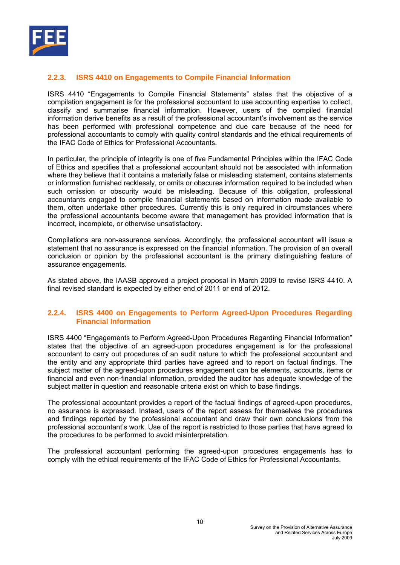

# **2.2.3. ISRS 4410 on Engagements to Compile Financial Information**

ISRS 4410 "Engagements to Compile Financial Statements" states that the objective of a compilation engagement is for the professional accountant to use accounting expertise to collect, classify and summarise financial information. However, users of the compiled financial information derive benefits as a result of the professional accountant's involvement as the service has been performed with professional competence and due care because of the need for professional accountants to comply with quality control standards and the ethical requirements of the IFAC Code of Ethics for Professional Accountants.

In particular, the principle of integrity is one of five Fundamental Principles within the IFAC Code of Ethics and specifies that a professional accountant should not be associated with information where they believe that it contains a materially false or misleading statement, contains statements or information furnished recklessly, or omits or obscures information required to be included when such omission or obscurity would be misleading. Because of this obligation, professional accountants engaged to compile financial statements based on information made available to them, often undertake other procedures. Currently this is only required in circumstances where the professional accountants become aware that management has provided information that is incorrect, incomplete, or otherwise unsatisfactory.

Compilations are non-assurance services. Accordingly, the professional accountant will issue a statement that no assurance is expressed on the financial information. The provision of an overall conclusion or opinion by the professional accountant is the primary distinguishing feature of assurance engagements.

As stated above, the IAASB approved a project proposal in March 2009 to revise ISRS 4410. A final revised standard is expected by either end of 2011 or end of 2012.

#### **2.2.4. ISRS 4400 on Engagements to Perform Agreed-Upon Procedures Regarding Financial Information**

ISRS 4400 "Engagements to Perform Agreed-Upon Procedures Regarding Financial Information" states that the objective of an agreed-upon procedures engagement is for the professional accountant to carry out procedures of an audit nature to which the professional accountant and the entity and any appropriate third parties have agreed and to report on factual findings. The subject matter of the agreed-upon procedures engagement can be elements, accounts, items or financial and even non-financial information, provided the auditor has adequate knowledge of the subject matter in question and reasonable criteria exist on which to base findings.

The professional accountant provides a report of the factual findings of agreed-upon procedures, no assurance is expressed. Instead, users of the report assess for themselves the procedures and findings reported by the professional accountant and draw their own conclusions from the professional accountant's work. Use of the report is restricted to those parties that have agreed to the procedures to be performed to avoid misinterpretation.

The professional accountant performing the agreed-upon procedures engagements has to comply with the ethical requirements of the IFAC Code of Ethics for Professional Accountants.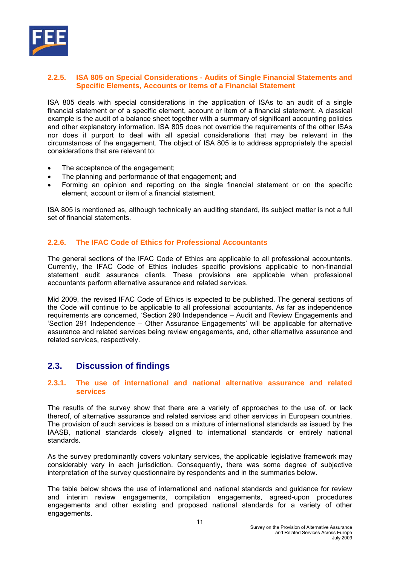

## **2.2.5. ISA 805 on Special Considerations - Audits of Single Financial Statements and Specific Elements, Accounts or Items of a Financial Statement**

ISA 805 deals with special considerations in the application of ISAs to an audit of a single financial statement or of a specific element, account or item of a financial statement. A classical example is the audit of a balance sheet together with a summary of significant accounting policies and other explanatory information. ISA 805 does not override the requirements of the other ISAs nor does it purport to deal with all special considerations that may be relevant in the circumstances of the engagement. The object of ISA 805 is to address appropriately the special considerations that are relevant to:

- The acceptance of the engagement;
- The planning and performance of that engagement; and
- Forming an opinion and reporting on the single financial statement or on the specific element, account or item of a financial statement.

ISA 805 is mentioned as, although technically an auditing standard, its subject matter is not a full set of financial statements.

# **2.2.6. The IFAC Code of Ethics for Professional Accountants**

The general sections of the IFAC Code of Ethics are applicable to all professional accountants. Currently, the IFAC Code of Ethics includes specific provisions applicable to non-financial statement audit assurance clients. These provisions are applicable when professional accountants perform alternative assurance and related services.

Mid 2009, the revised IFAC Code of Ethics is expected to be published. The general sections of the Code will continue to be applicable to all professional accountants. As far as independence requirements are concerned, 'Section 290 Independence – Audit and Review Engagements and 'Section 291 Independence – Other Assurance Engagements' will be applicable for alternative assurance and related services being review engagements, and, other alternative assurance and related services, respectively.

# **2.3. Discussion of findings**

#### **2.3.1. The use of international and national alternative assurance and related services**

The results of the survey show that there are a variety of approaches to the use of, or lack thereof, of alternative assurance and related services and other services in European countries. The provision of such services is based on a mixture of international standards as issued by the IAASB, national standards closely aligned to international standards or entirely national standards.

As the survey predominantly covers voluntary services, the applicable legislative framework may considerably vary in each jurisdiction. Consequently, there was some degree of subjective interpretation of the survey questionnaire by respondents and in the summaries below.

The table below shows the use of international and national standards and guidance for review and interim review engagements, compilation engagements, agreed-upon procedures engagements and other existing and proposed national standards for a variety of other engagements.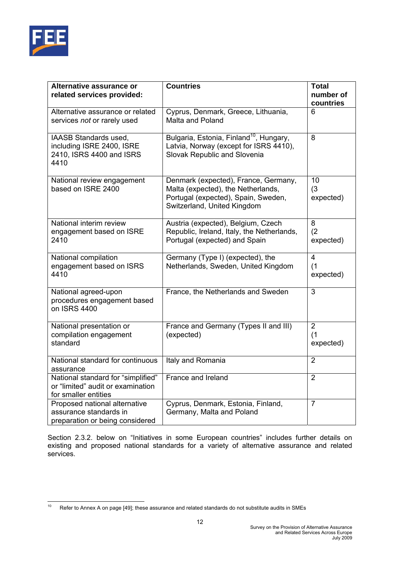

| Alternative assurance or<br>related services provided:                                          | <b>Countries</b>                                                                                                                                 | <b>Total</b><br>number of<br>countries |
|-------------------------------------------------------------------------------------------------|--------------------------------------------------------------------------------------------------------------------------------------------------|----------------------------------------|
| Alternative assurance or related<br>services not or rarely used                                 | Cyprus, Denmark, Greece, Lithuania,<br>Malta and Poland                                                                                          | 6                                      |
| IAASB Standards used,<br>including ISRE 2400, ISRE<br>2410, ISRS 4400 and ISRS<br>4410          | Bulgaria, Estonia, Finland <sup>10</sup> , Hungary,<br>Latvia, Norway (except for ISRS 4410),<br>Slovak Republic and Slovenia                    | 8                                      |
| National review engagement<br>based on ISRE 2400                                                | Denmark (expected), France, Germany,<br>Malta (expected), the Netherlands,<br>Portugal (expected), Spain, Sweden,<br>Switzerland, United Kingdom | 10<br>(3)<br>expected)                 |
| National interim review<br>engagement based on ISRE<br>2410                                     | Austria (expected), Belgium, Czech<br>Republic, Ireland, Italy, the Netherlands,<br>Portugal (expected) and Spain                                | 8<br>(2)<br>expected)                  |
| National compilation<br>engagement based on ISRS<br>4410                                        | Germany (Type I) (expected), the<br>Netherlands, Sweden, United Kingdom                                                                          | $\overline{4}$<br>(1)<br>expected)     |
| National agreed-upon<br>procedures engagement based<br>on ISRS 4400                             | France, the Netherlands and Sweden                                                                                                               | 3                                      |
| National presentation or<br>compilation engagement<br>standard                                  | France and Germany (Types II and III)<br>(expected)                                                                                              | $\overline{2}$<br>(1)<br>expected)     |
| National standard for continuous<br>assurance                                                   | Italy and Romania                                                                                                                                | $\overline{2}$                         |
| National standard for "simplified"<br>or "limited" audit or examination<br>for smaller entities | France and Ireland                                                                                                                               | $\overline{2}$                         |
| Proposed national alternative<br>assurance standards in<br>preparation or being considered      | Cyprus, Denmark, Estonia, Finland,<br>Germany, Malta and Poland                                                                                  | $\overline{7}$                         |

Section 2.3.2. below on "Initiatives in some European countries" includes further details on existing and proposed national standards for a variety of alternative assurance and related services.

 $10$ Refer to Annex A on page [49]; these assurance and related standards do not substitute audits in SMEs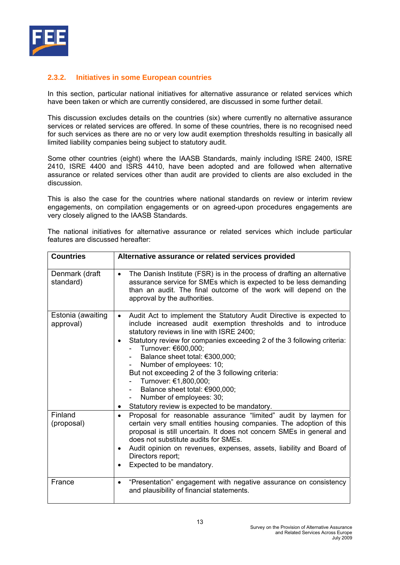

# **2.3.2. Initiatives in some European countries**

In this section, particular national initiatives for alternative assurance or related services which have been taken or which are currently considered, are discussed in some further detail.

This discussion excludes details on the countries (six) where currently no alternative assurance services or related services are offered. In some of these countries, there is no recognised need for such services as there are no or very low audit exemption thresholds resulting in basically all limited liability companies being subject to statutory audit.

Some other countries (eight) where the IAASB Standards, mainly including ISRE 2400, ISRE 2410, ISRE 4400 and ISRS 4410, have been adopted and are followed when alternative assurance or related services other than audit are provided to clients are also excluded in the discussion.

This is also the case for the countries where national standards on review or interim review engagements, on compilation engagements or on agreed-upon procedures engagements are very closely aligned to the IAASB Standards.

|  |                                   |  | The national initiatives for alternative assurance or related services which include particular |  |  |  |
|--|-----------------------------------|--|-------------------------------------------------------------------------------------------------|--|--|--|
|  | features are discussed hereafter: |  |                                                                                                 |  |  |  |

| <b>Countries</b>               | Alternative assurance or related services provided                                                                                                                                                                                                                                                                                                                                                                                                                                                                                                                        |
|--------------------------------|---------------------------------------------------------------------------------------------------------------------------------------------------------------------------------------------------------------------------------------------------------------------------------------------------------------------------------------------------------------------------------------------------------------------------------------------------------------------------------------------------------------------------------------------------------------------------|
| Denmark (draft<br>standard)    | The Danish Institute (FSR) is in the process of drafting an alternative<br>$\bullet$<br>assurance service for SMEs which is expected to be less demanding<br>than an audit. The final outcome of the work will depend on the<br>approval by the authorities.                                                                                                                                                                                                                                                                                                              |
| Estonia (awaiting<br>approval) | Audit Act to implement the Statutory Audit Directive is expected to<br>$\bullet$<br>include increased audit exemption thresholds and to introduce<br>statutory reviews in line with ISRE 2400;<br>Statutory review for companies exceeding 2 of the 3 following criteria:<br>$\bullet$<br>- Turnover: €600,000;<br>Balance sheet total: €300,000;<br>Number of employees: 10;<br>But not exceeding 2 of the 3 following criteria:<br>Turnover: €1,800,000;<br>Balance sheet total: €900,000;<br>Number of employees: 30;<br>Statutory review is expected to be mandatory. |
| Finland<br>(proposal)          | Proposal for reasonable assurance "limited" audit by laymen for<br>$\bullet$<br>certain very small entities housing companies. The adoption of this<br>proposal is still uncertain. It does not concern SMEs in general and<br>does not substitute audits for SMEs.<br>Audit opinion on revenues, expenses, assets, liability and Board of<br>٠<br>Directors report;<br>Expected to be mandatory.                                                                                                                                                                         |
| France                         | "Presentation" engagement with negative assurance on consistency<br>٠<br>and plausibility of financial statements.                                                                                                                                                                                                                                                                                                                                                                                                                                                        |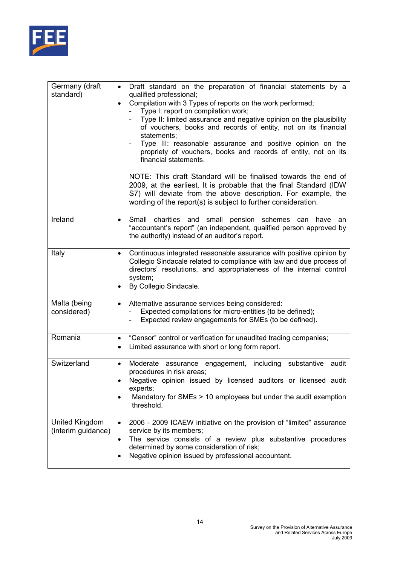

| Germany (draft<br>standard)          | Draft standard on the preparation of financial statements by a<br>$\bullet$<br>qualified professional;<br>Compilation with 3 Types of reports on the work performed;<br>$\bullet$<br>Type I: report on compilation work;<br>Type II: limited assurance and negative opinion on the plausibility<br>of vouchers, books and records of entity, not on its financial<br>statements;<br>Type III: reasonable assurance and positive opinion on the<br>propriety of vouchers, books and records of entity, not on its<br>financial statements.<br>NOTE: This draft Standard will be finalised towards the end of<br>2009, at the earliest. It is probable that the final Standard (IDW<br>S7) will deviate from the above description. For example, the<br>wording of the report(s) is subject to further consideration. |
|--------------------------------------|---------------------------------------------------------------------------------------------------------------------------------------------------------------------------------------------------------------------------------------------------------------------------------------------------------------------------------------------------------------------------------------------------------------------------------------------------------------------------------------------------------------------------------------------------------------------------------------------------------------------------------------------------------------------------------------------------------------------------------------------------------------------------------------------------------------------|
| Ireland                              | Small charities and<br>small pension schemes<br>have<br>can<br>an<br>"accountant's report" (an independent, qualified person approved by<br>the authority) instead of an auditor's report.                                                                                                                                                                                                                                                                                                                                                                                                                                                                                                                                                                                                                          |
| Italy                                | Continuous integrated reasonable assurance with positive opinion by<br>$\bullet$<br>Collegio Sindacale related to compliance with law and due process of<br>directors' resolutions, and appropriateness of the internal control<br>system;<br>By Collegio Sindacale.                                                                                                                                                                                                                                                                                                                                                                                                                                                                                                                                                |
| Malta (being<br>considered)          | Alternative assurance services being considered:<br>$\bullet$<br>Expected compilations for micro-entities (to be defined);<br>Expected review engagements for SMEs (to be defined).                                                                                                                                                                                                                                                                                                                                                                                                                                                                                                                                                                                                                                 |
| Romania                              | "Censor" control or verification for unaudited trading companies;<br>$\bullet$<br>Limited assurance with short or long form report.<br>٠                                                                                                                                                                                                                                                                                                                                                                                                                                                                                                                                                                                                                                                                            |
| Switzerland                          | Moderate assurance engagement, including<br>substantive audit<br>$\bullet$<br>procedures in risk areas;<br>Negative opinion issued by licensed auditors or licensed audit<br>experts;<br>Mandatory for SMEs > 10 employees but under the audit exemption<br>threshold.                                                                                                                                                                                                                                                                                                                                                                                                                                                                                                                                              |
| United Kingdom<br>(interim guidance) | 2006 - 2009 ICAEW initiative on the provision of "limited" assurance<br>$\bullet$<br>service by its members;<br>The service consists of a review plus substantive procedures<br>$\bullet$<br>determined by some consideration of risk;<br>Negative opinion issued by professional accountant.                                                                                                                                                                                                                                                                                                                                                                                                                                                                                                                       |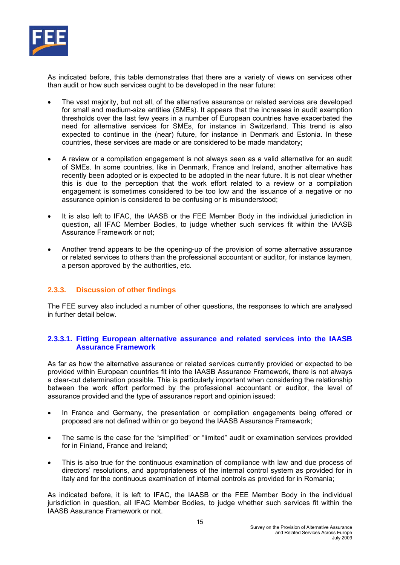

As indicated before, this table demonstrates that there are a variety of views on services other than audit or how such services ought to be developed in the near future:

- The vast majority, but not all, of the alternative assurance or related services are developed for small and medium-size entities (SMEs). It appears that the increases in audit exemption thresholds over the last few years in a number of European countries have exacerbated the need for alternative services for SMEs, for instance in Switzerland. This trend is also expected to continue in the (near) future, for instance in Denmark and Estonia. In these countries, these services are made or are considered to be made mandatory;
- A review or a compilation engagement is not always seen as a valid alternative for an audit of SMEs. In some countries, like in Denmark, France and Ireland, another alternative has recently been adopted or is expected to be adopted in the near future. It is not clear whether this is due to the perception that the work effort related to a review or a compilation engagement is sometimes considered to be too low and the issuance of a negative or no assurance opinion is considered to be confusing or is misunderstood;
- It is also left to IFAC, the IAASB or the FEE Member Body in the individual jurisdiction in question, all IFAC Member Bodies, to judge whether such services fit within the IAASB Assurance Framework or not;
- Another trend appears to be the opening-up of the provision of some alternative assurance or related services to others than the professional accountant or auditor, for instance laymen, a person approved by the authorities, etc.

# **2.3.3. Discussion of other findings**

The FEE survey also included a number of other questions, the responses to which are analysed in further detail below.

#### **2.3.3.1. Fitting European alternative assurance and related services into the IAASB Assurance Framework**

As far as how the alternative assurance or related services currently provided or expected to be provided within European countries fit into the IAASB Assurance Framework, there is not always a clear-cut determination possible. This is particularly important when considering the relationship between the work effort performed by the professional accountant or auditor, the level of assurance provided and the type of assurance report and opinion issued:

- In France and Germany, the presentation or compilation engagements being offered or proposed are not defined within or go beyond the IAASB Assurance Framework;
- The same is the case for the "simplified" or "limited" audit or examination services provided for in Finland, France and Ireland;
- This is also true for the continuous examination of compliance with law and due process of directors' resolutions, and appropriateness of the internal control system as provided for in Italy and for the continuous examination of internal controls as provided for in Romania;

As indicated before, it is left to IFAC, the IAASB or the FEE Member Body in the individual jurisdiction in question, all IFAC Member Bodies, to judge whether such services fit within the IAASB Assurance Framework or not.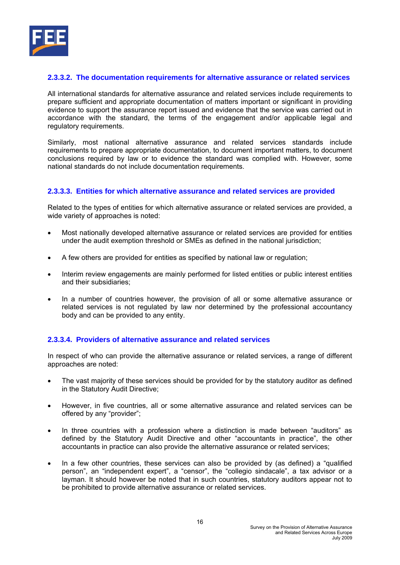

# **2.3.3.2. The documentation requirements for alternative assurance or related services**

All international standards for alternative assurance and related services include requirements to prepare sufficient and appropriate documentation of matters important or significant in providing evidence to support the assurance report issued and evidence that the service was carried out in accordance with the standard, the terms of the engagement and/or applicable legal and regulatory requirements.

Similarly, most national alternative assurance and related services standards include requirements to prepare appropriate documentation, to document important matters, to document conclusions required by law or to evidence the standard was complied with. However, some national standards do not include documentation requirements.

# **2.3.3.3. Entities for which alternative assurance and related services are provided**

Related to the types of entities for which alternative assurance or related services are provided, a wide variety of approaches is noted:

- Most nationally developed alternative assurance or related services are provided for entities under the audit exemption threshold or SMEs as defined in the national jurisdiction;
- A few others are provided for entities as specified by national law or regulation;
- Interim review engagements are mainly performed for listed entities or public interest entities and their subsidiaries;
- In a number of countries however, the provision of all or some alternative assurance or related services is not regulated by law nor determined by the professional accountancy body and can be provided to any entity.

# **2.3.3.4. Providers of alternative assurance and related services**

In respect of who can provide the alternative assurance or related services, a range of different approaches are noted:

- The vast majority of these services should be provided for by the statutory auditor as defined in the Statutory Audit Directive;
- However, in five countries, all or some alternative assurance and related services can be offered by any "provider";
- In three countries with a profession where a distinction is made between "auditors" as defined by the Statutory Audit Directive and other "accountants in practice", the other accountants in practice can also provide the alternative assurance or related services;
- In a few other countries, these services can also be provided by (as defined) a "qualified person", an "independent expert", a "censor", the "collegio sindacale", a tax advisor or a layman. It should however be noted that in such countries, statutory auditors appear not to be prohibited to provide alternative assurance or related services.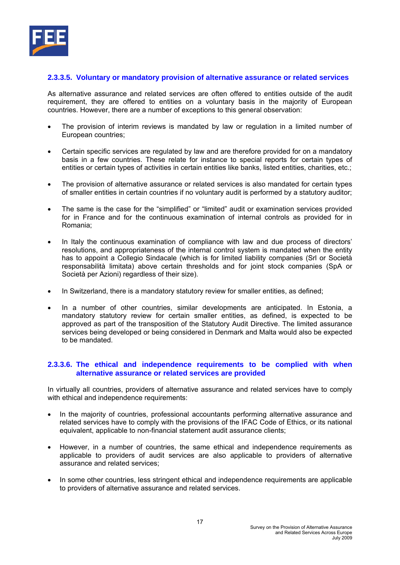

## **2.3.3.5. Voluntary or mandatory provision of alternative assurance or related services**

As alternative assurance and related services are often offered to entities outside of the audit requirement, they are offered to entities on a voluntary basis in the majority of European countries. However, there are a number of exceptions to this general observation:

- The provision of interim reviews is mandated by law or regulation in a limited number of European countries;
- Certain specific services are regulated by law and are therefore provided for on a mandatory basis in a few countries. These relate for instance to special reports for certain types of entities or certain types of activities in certain entities like banks, listed entities, charities, etc.;
- The provision of alternative assurance or related services is also mandated for certain types of smaller entities in certain countries if no voluntary audit is performed by a statutory auditor;
- The same is the case for the "simplified" or "limited" audit or examination services provided for in France and for the continuous examination of internal controls as provided for in Romania;
- In Italy the continuous examination of compliance with law and due process of directors' resolutions, and appropriateness of the internal control system is mandated when the entity has to appoint a Collegio Sindacale (which is for limited liability companies (Srl or Società responsabilità limitata) above certain thresholds and for joint stock companies (SpA or Società per Azioni) regardless of their size).
- In Switzerland, there is a mandatory statutory review for smaller entities, as defined;
- In a number of other countries, similar developments are anticipated. In Estonia, a mandatory statutory review for certain smaller entities, as defined, is expected to be approved as part of the transposition of the Statutory Audit Directive. The limited assurance services being developed or being considered in Denmark and Malta would also be expected to be mandated.

#### **2.3.3.6. The ethical and independence requirements to be complied with when alternative assurance or related services are provided**

In virtually all countries, providers of alternative assurance and related services have to comply with ethical and independence requirements:

- In the majority of countries, professional accountants performing alternative assurance and related services have to comply with the provisions of the IFAC Code of Ethics, or its national equivalent, applicable to non-financial statement audit assurance clients;
- However, in a number of countries, the same ethical and independence requirements as applicable to providers of audit services are also applicable to providers of alternative assurance and related services;
- In some other countries, less stringent ethical and independence requirements are applicable to providers of alternative assurance and related services.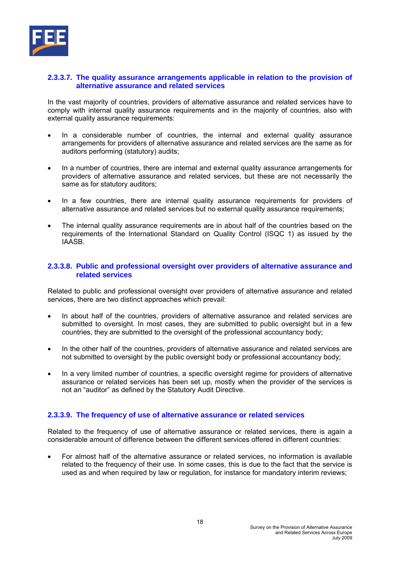

#### **2.3.3.7. The quality assurance arrangements applicable in relation to the provision of alternative assurance and related services**

In the vast majority of countries, providers of alternative assurance and related services have to comply with internal quality assurance requirements and in the majority of countries, also with external quality assurance requirements:

- In a considerable number of countries, the internal and external quality assurance arrangements for providers of alternative assurance and related services are the same as for auditors performing (statutory) audits;
- In a number of countries, there are internal and external quality assurance arrangements for providers of alternative assurance and related services, but these are not necessarily the same as for statutory auditors;
- In a few countries, there are internal quality assurance requirements for providers of alternative assurance and related services but no external quality assurance requirements;
- The internal quality assurance requirements are in about half of the countries based on the requirements of the International Standard on Quality Control (ISQC 1) as issued by the IAASB.

## **2.3.3.8. Public and professional oversight over providers of alternative assurance and related services**

Related to public and professional oversight over providers of alternative assurance and related services, there are two distinct approaches which prevail:

- In about half of the countries, providers of alternative assurance and related services are submitted to oversight. In most cases, they are submitted to public oversight but in a few countries, they are submitted to the oversight of the professional accountancy body;
- In the other half of the countries, providers of alternative assurance and related services are not submitted to oversight by the public oversight body or professional accountancy body;
- In a very limited number of countries, a specific oversight regime for providers of alternative assurance or related services has been set up, mostly when the provider of the services is not an "auditor" as defined by the Statutory Audit Directive.

# **2.3.3.9. The frequency of use of alternative assurance or related services**

Related to the frequency of use of alternative assurance or related services, there is again a considerable amount of difference between the different services offered in different countries:

• For almost half of the alternative assurance or related services, no information is available related to the frequency of their use. In some cases, this is due to the fact that the service is used as and when required by law or regulation, for instance for mandatory interim reviews;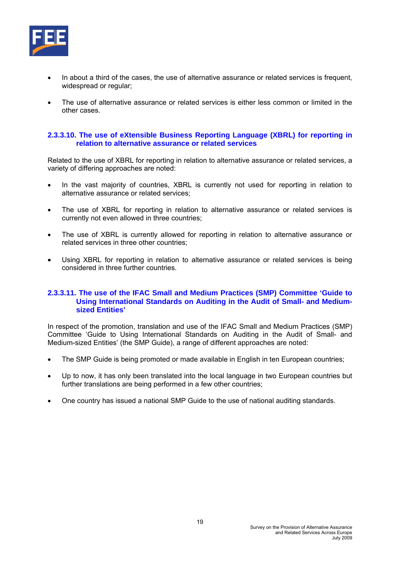

- In about a third of the cases, the use of alternative assurance or related services is frequent, widespread or regular;
- The use of alternative assurance or related services is either less common or limited in the other cases.

#### **2.3.3.10. The use of eXtensible Business Reporting Language (XBRL) for reporting in relation to alternative assurance or related services**

Related to the use of XBRL for reporting in relation to alternative assurance or related services, a variety of differing approaches are noted:

- In the vast majority of countries, XBRL is currently not used for reporting in relation to alternative assurance or related services;
- The use of XBRL for reporting in relation to alternative assurance or related services is currently not even allowed in three countries;
- The use of XBRL is currently allowed for reporting in relation to alternative assurance or related services in three other countries;
- Using XBRL for reporting in relation to alternative assurance or related services is being considered in three further countries.

#### **2.3.3.11. The use of the IFAC Small and Medium Practices (SMP) Committee 'Guide to Using International Standards on Auditing in the Audit of Small- and Mediumsized Entities'**

In respect of the promotion, translation and use of the IFAC Small and Medium Practices (SMP) Committee 'Guide to Using International Standards on Auditing in the Audit of Small- and Medium-sized Entities' (the SMP Guide), a range of different approaches are noted:

- The SMP Guide is being promoted or made available in English in ten European countries;
- Up to now, it has only been translated into the local language in two European countries but further translations are being performed in a few other countries;
- One country has issued a national SMP Guide to the use of national auditing standards.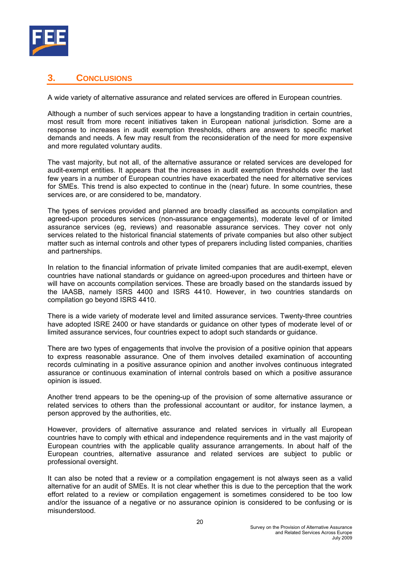

# **3. CONCLUSIONS**

A wide variety of alternative assurance and related services are offered in European countries.

Although a number of such services appear to have a longstanding tradition in certain countries, most result from more recent initiatives taken in European national jurisdiction. Some are a response to increases in audit exemption thresholds, others are answers to specific market demands and needs. A few may result from the reconsideration of the need for more expensive and more regulated voluntary audits.

The vast majority, but not all, of the alternative assurance or related services are developed for audit-exempt entities. It appears that the increases in audit exemption thresholds over the last few years in a number of European countries have exacerbated the need for alternative services for SMEs. This trend is also expected to continue in the (near) future. In some countries, these services are, or are considered to be, mandatory.

The types of services provided and planned are broadly classified as accounts compilation and agreed-upon procedures services (non-assurance engagements), moderate level of or limited assurance services (eg, reviews) and reasonable assurance services. They cover not only services related to the historical financial statements of private companies but also other subject matter such as internal controls and other types of preparers including listed companies, charities and partnerships.

In relation to the financial information of private limited companies that are audit-exempt, eleven countries have national standards or guidance on agreed-upon procedures and thirteen have or will have on accounts compilation services. These are broadly based on the standards issued by the IAASB, namely ISRS 4400 and ISRS 4410. However, in two countries standards on compilation go beyond ISRS 4410.

There is a wide variety of moderate level and limited assurance services. Twenty-three countries have adopted ISRE 2400 or have standards or guidance on other types of moderate level of or limited assurance services, four countries expect to adopt such standards or guidance.

There are two types of engagements that involve the provision of a positive opinion that appears to express reasonable assurance. One of them involves detailed examination of accounting records culminating in a positive assurance opinion and another involves continuous integrated assurance or continuous examination of internal controls based on which a positive assurance opinion is issued.

Another trend appears to be the opening-up of the provision of some alternative assurance or related services to others than the professional accountant or auditor, for instance laymen, a person approved by the authorities, etc.

However, providers of alternative assurance and related services in virtually all European countries have to comply with ethical and independence requirements and in the vast majority of European countries with the applicable quality assurance arrangements. In about half of the European countries, alternative assurance and related services are subject to public or professional oversight.

It can also be noted that a review or a compilation engagement is not always seen as a valid alternative for an audit of SMEs. It is not clear whether this is due to the perception that the work effort related to a review or compilation engagement is sometimes considered to be too low and/or the issuance of a negative or no assurance opinion is considered to be confusing or is misunderstood.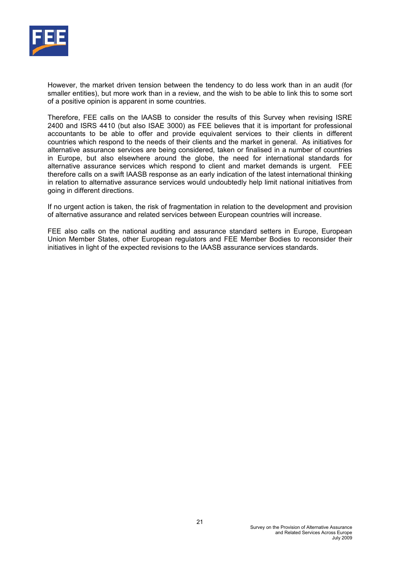

However, the market driven tension between the tendency to do less work than in an audit (for smaller entities), but more work than in a review, and the wish to be able to link this to some sort of a positive opinion is apparent in some countries.

Therefore, FEE calls on the IAASB to consider the results of this Survey when revising ISRE 2400 and ISRS 4410 (but also ISAE 3000) as FEE believes that it is important for professional accountants to be able to offer and provide equivalent services to their clients in different countries which respond to the needs of their clients and the market in general. As initiatives for alternative assurance services are being considered, taken or finalised in a number of countries in Europe, but also elsewhere around the globe, the need for international standards for alternative assurance services which respond to client and market demands is urgent. FEE therefore calls on a swift IAASB response as an early indication of the latest international thinking in relation to alternative assurance services would undoubtedly help limit national initiatives from going in different directions.

If no urgent action is taken, the risk of fragmentation in relation to the development and provision of alternative assurance and related services between European countries will increase.

FEE also calls on the national auditing and assurance standard setters in Europe, European Union Member States, other European regulators and FEE Member Bodies to reconsider their initiatives in light of the expected revisions to the IAASB assurance services standards.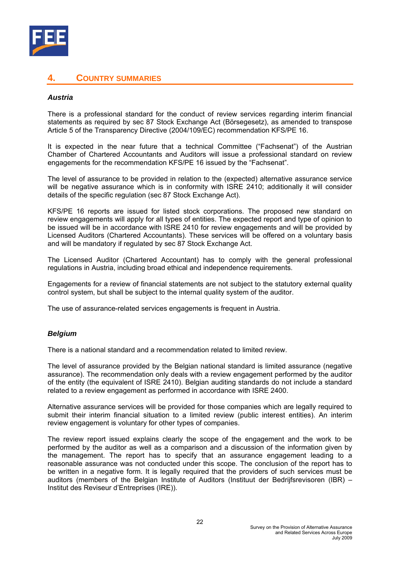

# **4. COUNTRY SUMMARIES**

#### *Austria*

There is a professional standard for the conduct of review services regarding interim financial statements as required by sec 87 Stock Exchange Act (Börsegesetz), as amended to transpose Article 5 of the Transparency Directive (2004/109/EC) recommendation KFS/PE 16.

It is expected in the near future that a technical Committee ("Fachsenat") of the Austrian Chamber of Chartered Accountants and Auditors will issue a professional standard on review engagements for the recommendation KFS/PE 16 issued by the "Fachsenat".

The level of assurance to be provided in relation to the (expected) alternative assurance service will be negative assurance which is in conformity with ISRE 2410; additionally it will consider details of the specific regulation (sec 87 Stock Exchange Act).

KFS/PE 16 reports are issued for listed stock corporations. The proposed new standard on review engagements will apply for all types of entities. The expected report and type of opinion to be issued will be in accordance with ISRE 2410 for review engagements and will be provided by Licensed Auditors (Chartered Accountants). These services will be offered on a voluntary basis and will be mandatory if regulated by sec 87 Stock Exchange Act.

The Licensed Auditor (Chartered Accountant) has to comply with the general professional regulations in Austria, including broad ethical and independence requirements.

Engagements for a review of financial statements are not subject to the statutory external quality control system, but shall be subject to the internal quality system of the auditor.

The use of assurance-related services engagements is frequent in Austria.

#### *Belgium*

There is a national standard and a recommendation related to limited review.

The level of assurance provided by the Belgian national standard is limited assurance (negative assurance). The recommendation only deals with a review engagement performed by the auditor of the entity (the equivalent of ISRE 2410). Belgian auditing standards do not include a standard related to a review engagement as performed in accordance with ISRE 2400.

Alternative assurance services will be provided for those companies which are legally required to submit their interim financial situation to a limited review (public interest entities). An interim review engagement is voluntary for other types of companies.

The review report issued explains clearly the scope of the engagement and the work to be performed by the auditor as well as a comparison and a discussion of the information given by the management. The report has to specify that an assurance engagement leading to a reasonable assurance was not conducted under this scope. The conclusion of the report has to be written in a negative form. It is legally required that the providers of such services must be auditors (members of the Belgian Institute of Auditors (Instituut der Bedrijfsrevisoren (IBR) – Institut des Reviseur d'Entreprises (IRE)).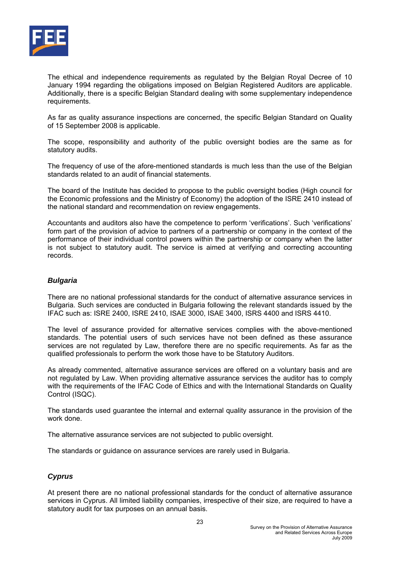

The ethical and independence requirements as regulated by the Belgian Royal Decree of 10 January 1994 regarding the obligations imposed on Belgian Registered Auditors are applicable. Additionally, there is a specific Belgian Standard dealing with some supplementary independence requirements.

As far as quality assurance inspections are concerned, the specific Belgian Standard on Quality of 15 September 2008 is applicable.

The scope, responsibility and authority of the public oversight bodies are the same as for statutory audits.

The frequency of use of the afore-mentioned standards is much less than the use of the Belgian standards related to an audit of financial statements.

The board of the Institute has decided to propose to the public oversight bodies (High council for the Economic professions and the Ministry of Economy) the adoption of the ISRE 2410 instead of the national standard and recommendation on review engagements.

Accountants and auditors also have the competence to perform 'verifications'. Such 'verifications' form part of the provision of advice to partners of a partnership or company in the context of the performance of their individual control powers within the partnership or company when the latter is not subject to statutory audit. The service is aimed at verifying and correcting accounting records.

## *Bulgaria*

There are no national professional standards for the conduct of alternative assurance services in Bulgaria. Such services are conducted in Bulgaria following the relevant standards issued by the IFAC such as: ISRE 2400, ISRE 2410, ISAE 3000, ISAE 3400, ISRS 4400 and ISRS 4410.

The level of assurance provided for alternative services complies with the above-mentioned standards. The potential users of such services have not been defined as these assurance services are not regulated by Law, therefore there are no specific requirements. As far as the qualified professionals to perform the work those have to be Statutory Auditors.

As already commented, alternative assurance services are offered on a voluntary basis and are not regulated by Law. When providing alternative assurance services the auditor has to comply with the requirements of the IFAC Code of Ethics and with the International Standards on Quality Control (ISQC).

The standards used guarantee the internal and external quality assurance in the provision of the work done.

The alternative assurance services are not subjected to public oversight.

The standards or guidance on assurance services are rarely used in Bulgaria.

# *Cyprus*

At present there are no national professional standards for the conduct of alternative assurance services in Cyprus. All limited liability companies, irrespective of their size, are required to have a statutory audit for tax purposes on an annual basis.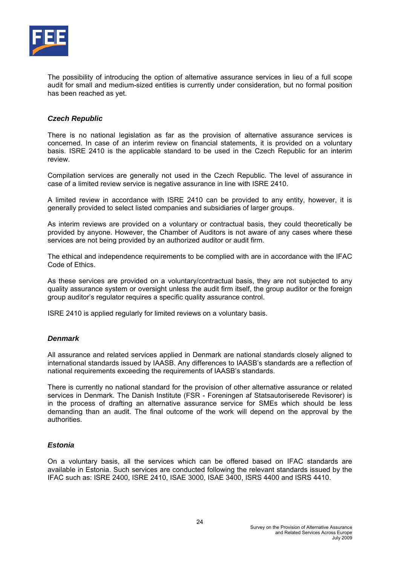

The possibility of introducing the option of alternative assurance services in lieu of a full scope audit for small and medium-sized entities is currently under consideration, but no formal position has been reached as yet.

## *Czech Republic*

There is no national legislation as far as the provision of alternative assurance services is concerned. In case of an interim review on financial statements, it is provided on a voluntary basis. ISRE 2410 is the applicable standard to be used in the Czech Republic for an interim review.

Compilation services are generally not used in the Czech Republic. The level of assurance in case of a limited review service is negative assurance in line with ISRE 2410.

A limited review in accordance with ISRE 2410 can be provided to any entity, however, it is generally provided to select listed companies and subsidiaries of larger groups.

As interim reviews are provided on a voluntary or contractual basis, they could theoretically be provided by anyone. However, the Chamber of Auditors is not aware of any cases where these services are not being provided by an authorized auditor or audit firm.

The ethical and independence requirements to be complied with are in accordance with the IFAC Code of Ethics.

As these services are provided on a voluntary/contractual basis, they are not subjected to any quality assurance system or oversight unless the audit firm itself, the group auditor or the foreign group auditor's regulator requires a specific quality assurance control.

ISRE 2410 is applied regularly for limited reviews on a voluntary basis.

#### *Denmark*

All assurance and related services applied in Denmark are national standards closely aligned to international standards issued by IAASB. Any differences to IAASB's standards are a reflection of national requirements exceeding the requirements of IAASB's standards.

There is currently no national standard for the provision of other alternative assurance or related services in Denmark. The Danish Institute (FSR - Foreningen af Statsautoriserede Revisorer) is in the process of drafting an alternative assurance service for SMEs which should be less demanding than an audit. The final outcome of the work will depend on the approval by the authorities.

#### *Estonia*

On a voluntary basis, all the services which can be offered based on IFAC standards are available in Estonia. Such services are conducted following the relevant standards issued by the IFAC such as: ISRE 2400, ISRE 2410, ISAE 3000, ISAE 3400, ISRS 4400 and ISRS 4410.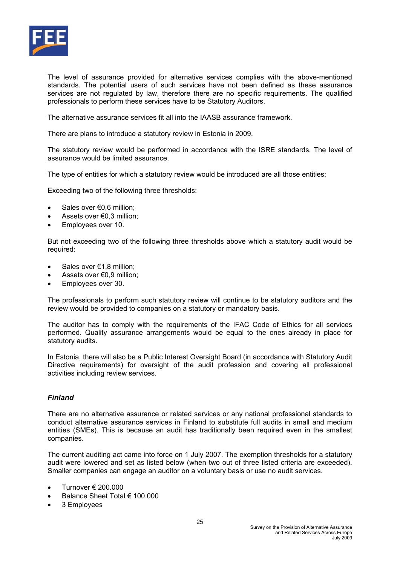

The level of assurance provided for alternative services complies with the above-mentioned standards. The potential users of such services have not been defined as these assurance services are not regulated by law, therefore there are no specific requirements. The qualified professionals to perform these services have to be Statutory Auditors.

The alternative assurance services fit all into the IAASB assurance framework.

There are plans to introduce a statutory review in Estonia in 2009.

The statutory review would be performed in accordance with the ISRE standards. The level of assurance would be limited assurance.

The type of entities for which a statutory review would be introduced are all those entities:

Exceeding two of the following three thresholds:

- Sales over €0,6 million;
- Assets over €0,3 million;
- Employees over 10.

But not exceeding two of the following three thresholds above which a statutory audit would be required:

- Sales over €1,8 million;
- Assets over €0,9 million;
- Employees over 30.

The professionals to perform such statutory review will continue to be statutory auditors and the review would be provided to companies on a statutory or mandatory basis.

The auditor has to comply with the requirements of the IFAC Code of Ethics for all services performed. Quality assurance arrangements would be equal to the ones already in place for statutory audits.

In Estonia, there will also be a Public Interest Oversight Board (in accordance with Statutory Audit Directive requirements) for oversight of the audit profession and covering all professional activities including review services.

#### *Finland*

There are no alternative assurance or related services or any national professional standards to conduct alternative assurance services in Finland to substitute full audits in small and medium entities (SMEs). This is because an audit has traditionally been required even in the smallest companies.

The current auditing act came into force on 1 July 2007. The exemption thresholds for a statutory audit were lowered and set as listed below (when two out of three listed criteria are exceeded). Smaller companies can engage an auditor on a voluntary basis or use no audit services.

- Turnover € 200.000
- Balance Sheet Total € 100.000
- 3 Employees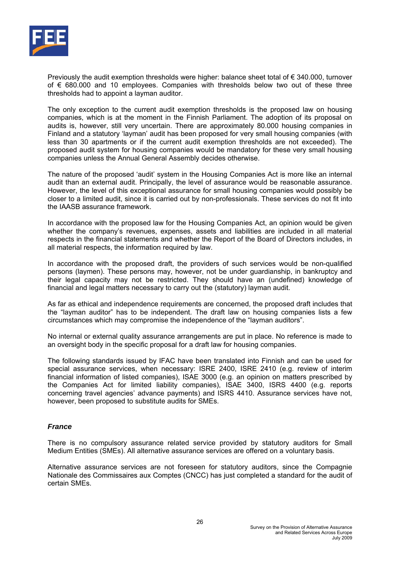

Previously the audit exemption thresholds were higher: balance sheet total of € 340.000, turnover of € 680.000 and 10 employees. Companies with thresholds below two out of these three thresholds had to appoint a layman auditor.

The only exception to the current audit exemption thresholds is the proposed law on housing companies, which is at the moment in the Finnish Parliament. The adoption of its proposal on audits is, however, still very uncertain. There are approximately 80.000 housing companies in Finland and a statutory 'layman' audit has been proposed for very small housing companies (with less than 30 apartments or if the current audit exemption thresholds are not exceeded). The proposed audit system for housing companies would be mandatory for these very small housing companies unless the Annual General Assembly decides otherwise.

The nature of the proposed 'audit' system in the Housing Companies Act is more like an internal audit than an external audit. Principally, the level of assurance would be reasonable assurance. However, the level of this exceptional assurance for small housing companies would possibly be closer to a limited audit, since it is carried out by non-professionals. These services do not fit into the IAASB assurance framework.

In accordance with the proposed law for the Housing Companies Act, an opinion would be given whether the company's revenues, expenses, assets and liabilities are included in all material respects in the financial statements and whether the Report of the Board of Directors includes, in all material respects, the information required by law.

In accordance with the proposed draft, the providers of such services would be non-qualified persons (laymen). These persons may, however, not be under guardianship, in bankruptcy and their legal capacity may not be restricted. They should have an (undefined) knowledge of financial and legal matters necessary to carry out the (statutory) layman audit.

As far as ethical and independence requirements are concerned, the proposed draft includes that the "layman auditor" has to be independent. The draft law on housing companies lists a few circumstances which may compromise the independence of the "layman auditors".

No internal or external quality assurance arrangements are put in place. No reference is made to an oversight body in the specific proposal for a draft law for housing companies.

The following standards issued by IFAC have been translated into Finnish and can be used for special assurance services, when necessary: ISRE 2400, ISRE 2410 (e.g. review of interim financial information of listed companies), ISAE 3000 (e.g. an opinion on matters prescribed by the Companies Act for limited liability companies), ISAE 3400, ISRS 4400 (e.g. reports concerning travel agencies' advance payments) and ISRS 4410. Assurance services have not, however, been proposed to substitute audits for SMEs.

#### *France*

There is no compulsory assurance related service provided by statutory auditors for Small Medium Entities (SMEs). All alternative assurance services are offered on a voluntary basis.

Alternative assurance services are not foreseen for statutory auditors, since the Compagnie Nationale des Commissaires aux Comptes (CNCC) has just completed a standard for the audit of certain SMEs.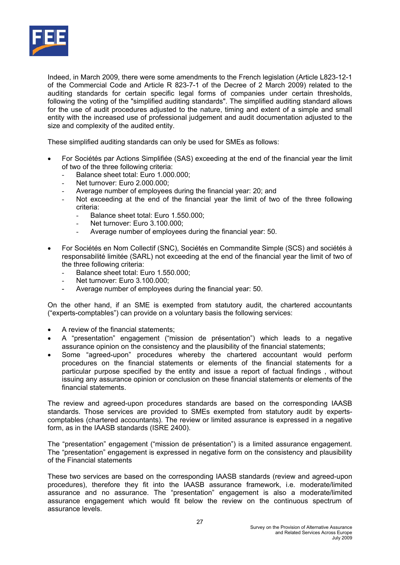

Indeed, in March 2009, there were some amendments to the French legislation (Article L823-12-1 of the Commercial Code and Article R 823-7-1 of the Decree of 2 March 2009) related to the auditing standards for certain specific legal forms of companies under certain thresholds, following the voting of the "simplified auditing standards". The simplified auditing standard allows for the use of audit procedures adjusted to the nature, timing and extent of a simple and small entity with the increased use of professional judgement and audit documentation adjusted to the size and complexity of the audited entity.

These simplified auditing standards can only be used for SMEs as follows:

- For Sociétés par Actions Simplifiée (SAS) exceeding at the end of the financial year the limit of two of the three following criteria:
	- Balance sheet total: Euro 1.000.000;
	- Net turnover: Euro 2.000.000;
	- Average number of employees during the financial year: 20; and
	- Not exceeding at the end of the financial year the limit of two of the three following criteria:
		- Balance sheet total: Euro 1.550.000;
		- Net turnover: Euro 3.100.000;
		- Average number of employees during the financial year: 50.
- For Sociétés en Nom Collectif (SNC), Sociétés en Commandite Simple (SCS) and sociétés à responsabilité limitée (SARL) not exceeding at the end of the financial year the limit of two of the three following criteria:
	- Balance sheet total: Euro 1.550.000;
	- Net turnover: Euro 3.100.000;
	- Average number of employees during the financial year: 50.

On the other hand, if an SME is exempted from statutory audit, the chartered accountants ("experts-comptables") can provide on a voluntary basis the following services:

- A review of the financial statements;
- A "presentation" engagement ("mission de présentation") which leads to a negative assurance opinion on the consistency and the plausibility of the financial statements;
- Some "agreed-upon" procedures whereby the chartered accountant would perform procedures on the financial statements or elements of the financial statements for a particular purpose specified by the entity and issue a report of factual findings , without issuing any assurance opinion or conclusion on these financial statements or elements of the financial statements.

The review and agreed-upon procedures standards are based on the corresponding IAASB standards. Those services are provided to SMEs exempted from statutory audit by expertscomptables (chartered accountants). The review or limited assurance is expressed in a negative form, as in the IAASB standards (ISRE 2400).

The "presentation" engagement ("mission de présentation") is a limited assurance engagement. The "presentation" engagement is expressed in negative form on the consistency and plausibility of the Financial statements

These two services are based on the corresponding IAASB standards (review and agreed-upon procedures), therefore they fit into the IAASB assurance framework, i.e. moderate/limited assurance and no assurance. The "presentation" engagement is also a moderate/limited assurance engagement which would fit below the review on the continuous spectrum of assurance levels.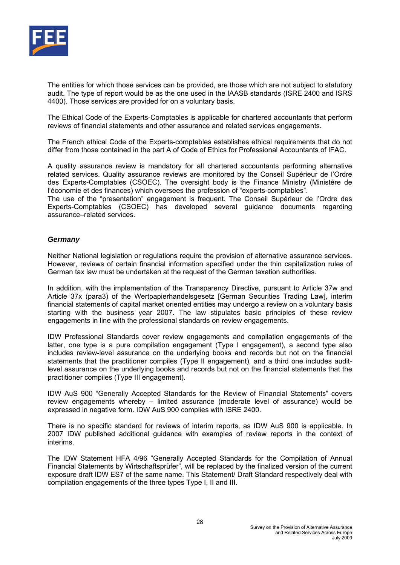

The entities for which those services can be provided, are those which are not subject to statutory audit. The type of report would be as the one used in the IAASB standards (ISRE 2400 and ISRS 4400). Those services are provided for on a voluntary basis.

The Ethical Code of the Experts-Comptables is applicable for chartered accountants that perform reviews of financial statements and other assurance and related services engagements.

The French ethical Code of the Experts-comptables establishes ethical requirements that do not differ from those contained in the part A of Code of Ethics for Professional Accountants of IFAC.

A quality assurance review is mandatory for all chartered accountants performing alternative related services. Quality assurance reviews are monitored by the Conseil Supérieur de l'Ordre des Experts-Comptables (CSOEC). The oversight body is the Finance Ministry (Ministère de l'économie et des finances) which oversees the profession of "experts-comptables".

The use of the "presentation" engagement is frequent. The Conseil Supérieur de l'Ordre des Experts-Comptables (CSOEC) has developed several guidance documents regarding assurance–related services.

#### *Germany*

Neither National legislation or regulations require the provision of alternative assurance services. However, reviews of certain financial information specified under the thin capitalization rules of German tax law must be undertaken at the request of the German taxation authorities.

In addition, with the implementation of the Transparency Directive, pursuant to Article 37w and Article 37x (para3) of the Wertpapierhandelsgesetz [German Securities Trading Law], interim financial statements of capital market oriented entities may undergo a review on a voluntary basis starting with the business year 2007. The law stipulates basic principles of these review engagements in line with the professional standards on review engagements.

IDW Professional Standards cover review engagements and compilation engagements of the latter, one type is a pure compilation engagement (Type I engagement), a second type also includes review-level assurance on the underlying books and records but not on the financial statements that the practitioner compiles (Type II engagement), and a third one includes auditlevel assurance on the underlying books and records but not on the financial statements that the practitioner compiles (Type III engagement).

IDW AuS 900 "Generally Accepted Standards for the Review of Financial Statements" covers review engagements whereby – limited assurance (moderate level of assurance) would be expressed in negative form. IDW AuS 900 complies with ISRE 2400.

There is no specific standard for reviews of interim reports, as IDW AuS 900 is applicable. In 2007 IDW published additional guidance with examples of review reports in the context of interims.

The IDW Statement HFA 4/96 "Generally Accepted Standards for the Compilation of Annual Financial Statements by Wirtschaftsprüfer", will be replaced by the finalized version of the current exposure draft IDW ES7 of the same name. This Statement/ Draft Standard respectively deal with compilation engagements of the three types Type I, II and III.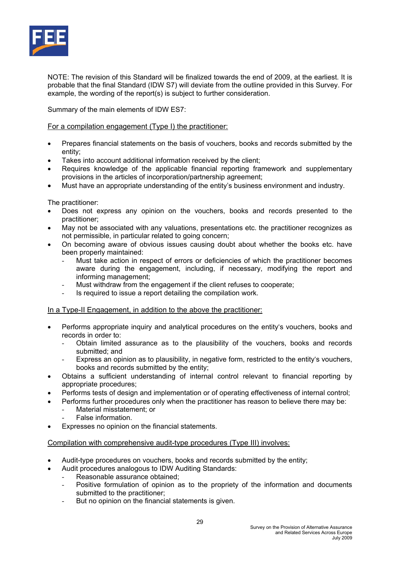

NOTE: The revision of this Standard will be finalized towards the end of 2009, at the earliest. It is probable that the final Standard (IDW S7) will deviate from the outline provided in this Survey. For example, the wording of the report(s) is subject to further consideration.

Summary of the main elements of IDW ES7:

#### For a compilation engagement (Type I) the practitioner:

- Prepares financial statements on the basis of vouchers, books and records submitted by the entity;
- Takes into account additional information received by the client;
- Requires knowledge of the applicable financial reporting framework and supplementary provisions in the articles of incorporation/partnership agreement;
- Must have an appropriate understanding of the entity's business environment and industry.

The practitioner:

- Does not express any opinion on the vouchers, books and records presented to the practitioner;
- May not be associated with any valuations, presentations etc. the practitioner recognizes as not permissible, in particular related to going concern;
- On becoming aware of obvious issues causing doubt about whether the books etc. have been properly maintained:
	- Must take action in respect of errors or deficiencies of which the practitioner becomes aware during the engagement, including, if necessary, modifying the report and informing management;
	- Must withdraw from the engagement if the client refuses to cooperate;
	- Is required to issue a report detailing the compilation work.

#### In a Type-II Engagement, in addition to the above the practitioner:

- Performs appropriate inquiry and analytical procedures on the entity's vouchers, books and records in order to:
	- Obtain limited assurance as to the plausibility of the vouchers, books and records submitted; and
	- Express an opinion as to plausibility, in negative form, restricted to the entity's vouchers, books and records submitted by the entity;
- Obtains a sufficient understanding of internal control relevant to financial reporting by appropriate procedures;
- Performs tests of design and implementation or of operating effectiveness of internal control;
- Performs further procedures only when the practitioner has reason to believe there may be:
	- Material misstatement; or
	- False information.
- Expresses no opinion on the financial statements.

#### Compilation with comprehensive audit-type procedures (Type III) involves:

- Audit-type procedures on vouchers, books and records submitted by the entity;
	- Audit procedures analogous to IDW Auditing Standards:
		- Reasonable assurance obtained:
		- Positive formulation of opinion as to the propriety of the information and documents submitted to the practitioner;
		- But no opinion on the financial statements is given.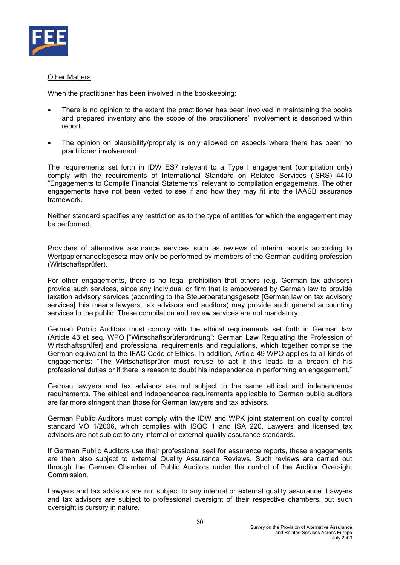

#### Other Matters

When the practitioner has been involved in the bookkeeping:

- There is no opinion to the extent the practitioner has been involved in maintaining the books and prepared inventory and the scope of the practitioners' involvement is described within report.
- The opinion on plausibility/propriety is only allowed on aspects where there has been no practitioner involvement.

The requirements set forth in IDW ES7 relevant to a Type I engagement (compilation only) comply with the requirements of International Standard on Related Services (ISRS) 4410 "Engagements to Compile Financial Statements" relevant to compilation engagements. The other engagements have not been vetted to see if and how they may fit into the IAASB assurance framework.

Neither standard specifies any restriction as to the type of entities for which the engagement may be performed.

Providers of alternative assurance services such as reviews of interim reports according to Wertpapierhandelsgesetz may only be performed by members of the German auditing profession (Wirtschaftsprüfer).

For other engagements, there is no legal prohibition that others (e.g. German tax advisors) provide such services, since any individual or firm that is empowered by German law to provide taxation advisory services (according to the Steuerberatungsgesetz [German law on tax advisory services] this means lawyers, tax advisors and auditors) may provide such general accounting services to the public. These compilation and review services are not mandatory.

German Public Auditors must comply with the ethical requirements set forth in German law (Article 43 et seq. WPO ["Wirtschaftsprüferordnung": German Law Regulating the Profession of Wirtschaftsprüfer] and professional requirements and regulations, which together comprise the German equivalent to the IFAC Code of Ethics. In addition, Article 49 WPO applies to all kinds of engagements: "The Wirtschaftsprüfer must refuse to act if this leads to a breach of his professional duties or if there is reason to doubt his independence in performing an engagement."

German lawyers and tax advisors are not subject to the same ethical and independence requirements. The ethical and independence requirements applicable to German public auditors are far more stringent than those for German lawyers and tax advisors.

German Public Auditors must comply with the IDW and WPK joint statement on quality control standard VO 1/2006, which complies with ISQC 1 and ISA 220. Lawyers and licensed tax advisors are not subject to any internal or external quality assurance standards.

If German Public Auditors use their professional seal for assurance reports, these engagements are then also subject to external Quality Assurance Reviews. Such reviews are carried out through the German Chamber of Public Auditors under the control of the Auditor Oversight Commission.

Lawyers and tax advisors are not subject to any internal or external quality assurance. Lawyers and tax advisors are subject to professional oversight of their respective chambers, but such oversight is cursory in nature.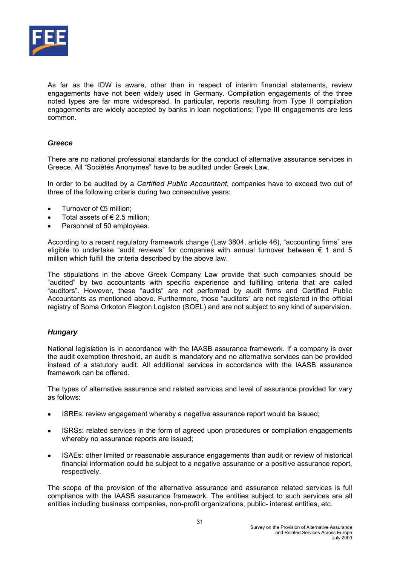

As far as the IDW is aware, other than in respect of interim financial statements, review engagements have not been widely used in Germany. Compilation engagements of the three noted types are far more widespread. In particular, reports resulting from Type II compilation engagements are widely accepted by banks in loan negotiations; Type III engagements are less common.

# *Greece*

There are no national professional standards for the conduct of alternative assurance services in Greece. All "Sociétés Anonymes" have to be audited under Greek Law.

In order to be audited by a *Certified Public Accountant*, companies have to exceed two out of three of the following criteria during two consecutive years:

- Turnover of €5 million;
- Total assets of  $\epsilon$  2.5 million:
- Personnel of 50 employees.

According to a recent regulatory framework change (Law 3604, article 46), "accounting firms" are eligible to undertake "audit reviews" for companies with annual turnover between  $\epsilon$  1 and 5 million which fulfill the criteria described by the above law.

The stipulations in the above Greek Company Law provide that such companies should be "audited" by two accountants with specific experience and fulfilling criteria that are called "auditors". However, these "audits" are not performed by audit firms and Certified Public Accountants as mentioned above. Furthermore, those "auditors" are not registered in the official registry of Soma Orkoton Elegton Logiston (SOEL) and are not subject to any kind of supervision.

# *Hungary*

National legislation is in accordance with the IAASB assurance framework. If a company is over the audit exemption threshold, an audit is mandatory and no alternative services can be provided instead of a statutory audit. All additional services in accordance with the IAASB assurance framework can be offered.

The types of alternative assurance and related services and level of assurance provided for vary as follows:

- ISREs: review engagement whereby a negative assurance report would be issued;
- ISRSs: related services in the form of agreed upon procedures or compilation engagements whereby no assurance reports are issued;
- ISAEs: other limited or reasonable assurance engagements than audit or review of historical financial information could be subject to a negative assurance or a positive assurance report, respectively.

The scope of the provision of the alternative assurance and assurance related services is full compliance with the IAASB assurance framework. The entities subject to such services are all entities including business companies, non-profit organizations, public- interest entities, etc.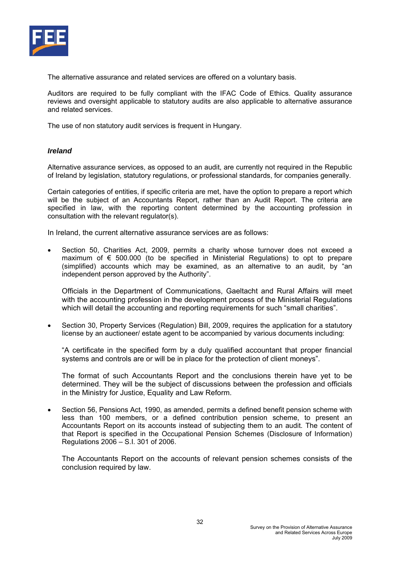

The alternative assurance and related services are offered on a voluntary basis.

Auditors are required to be fully compliant with the IFAC Code of Ethics. Quality assurance reviews and oversight applicable to statutory audits are also applicable to alternative assurance and related services.

The use of non statutory audit services is frequent in Hungary.

#### *Ireland*

Alternative assurance services, as opposed to an audit, are currently not required in the Republic of Ireland by legislation, statutory regulations, or professional standards, for companies generally.

Certain categories of entities, if specific criteria are met, have the option to prepare a report which will be the subject of an Accountants Report, rather than an Audit Report. The criteria are specified in law, with the reporting content determined by the accounting profession in consultation with the relevant regulator(s).

In Ireland, the current alternative assurance services are as follows:

• Section 50, Charities Act, 2009, permits a charity whose turnover does not exceed a maximum of  $\epsilon$  500.000 (to be specified in Ministerial Regulations) to opt to prepare (simplified) accounts which may be examined, as an alternative to an audit, by "an independent person approved by the Authority".

Officials in the Department of Communications, Gaeltacht and Rural Affairs will meet with the accounting profession in the development process of the Ministerial Regulations which will detail the accounting and reporting requirements for such "small charities".

• Section 30, Property Services (Regulation) Bill, 2009, requires the application for a statutory license by an auctioneer/ estate agent to be accompanied by various documents including:

"A certificate in the specified form by a duly qualified accountant that proper financial systems and controls are or will be in place for the protection of client moneys".

The format of such Accountants Report and the conclusions therein have yet to be determined. They will be the subject of discussions between the profession and officials in the Ministry for Justice, Equality and Law Reform.

• Section 56, Pensions Act, 1990, as amended, permits a defined benefit pension scheme with less than 100 members, or a defined contribution pension scheme, to present an Accountants Report on its accounts instead of subjecting them to an audit. The content of that Report is specified in the Occupational Pension Schemes (Disclosure of Information) Regulations 2006 – S.I. 301 of 2006.

The Accountants Report on the accounts of relevant pension schemes consists of the conclusion required by law.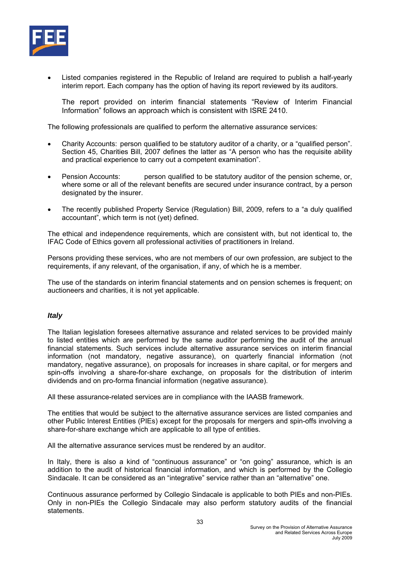

• Listed companies registered in the Republic of Ireland are required to publish a half-yearly interim report. Each company has the option of having its report reviewed by its auditors.

The report provided on interim financial statements "Review of Interim Financial Information" follows an approach which is consistent with ISRE 2410.

The following professionals are qualified to perform the alternative assurance services:

- Charity Accounts: person qualified to be statutory auditor of a charity, or a "qualified person". Section 45, Charities Bill, 2007 defines the latter as "A person who has the requisite ability and practical experience to carry out a competent examination".
- Pension Accounts: person qualified to be statutory auditor of the pension scheme, or, where some or all of the relevant benefits are secured under insurance contract, by a person designated by the insurer.
- The recently published Property Service (Regulation) Bill, 2009, refers to a "a duly qualified accountant", which term is not (yet) defined.

The ethical and independence requirements, which are consistent with, but not identical to, the IFAC Code of Ethics govern all professional activities of practitioners in Ireland.

Persons providing these services, who are not members of our own profession, are subject to the requirements, if any relevant, of the organisation, if any, of which he is a member.

The use of the standards on interim financial statements and on pension schemes is frequent; on auctioneers and charities, it is not yet applicable.

# *Italy*

The Italian legislation foresees alternative assurance and related services to be provided mainly to listed entities which are performed by the same auditor performing the audit of the annual financial statements. Such services include alternative assurance services on interim financial information (not mandatory, negative assurance), on quarterly financial information (not mandatory, negative assurance), on proposals for increases in share capital, or for mergers and spin-offs involving a share-for-share exchange, on proposals for the distribution of interim dividends and on pro-forma financial information (negative assurance).

All these assurance-related services are in compliance with the IAASB framework.

The entities that would be subject to the alternative assurance services are listed companies and other Public Interest Entities (PIEs) except for the proposals for mergers and spin-offs involving a share-for-share exchange which are applicable to all type of entities.

All the alternative assurance services must be rendered by an auditor.

In Italy, there is also a kind of "continuous assurance" or "on going" assurance, which is an addition to the audit of historical financial information, and which is performed by the Collegio Sindacale. It can be considered as an "integrative" service rather than an "alternative" one.

Continuous assurance performed by Collegio Sindacale is applicable to both PIEs and non-PIEs. Only in non-PIEs the Collegio Sindacale may also perform statutory audits of the financial statements.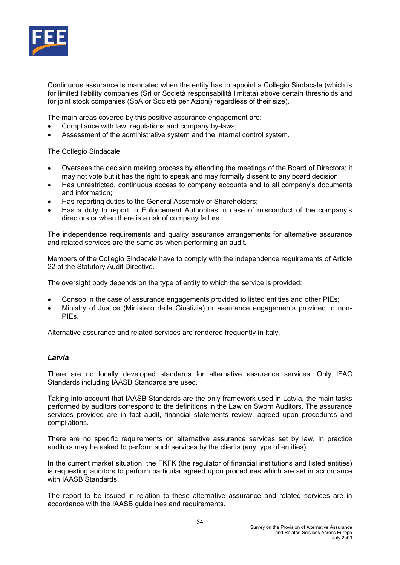

Continuous assurance is mandated when the entity has to appoint a Collegio Sindacale (which is for limited liability companies (Srl or Società responsabilità limitata) above certain thresholds and for joint stock companies (SpA or Società per Azioni) regardless of their size).

The main areas covered by this positive assurance engagement are:

- Compliance with law, regulations and company by-laws;
- Assessment of the administrative system and the internal control system.

The Collegio Sindacale:

- Oversees the decision making process by attending the meetings of the Board of Directors; it may not vote but it has the right to speak and may formally dissent to any board decision;
- Has unrestricted, continuous access to company accounts and to all company's documents and information;
- Has reporting duties to the General Assembly of Shareholders;
- Has a duty to report to Enforcement Authorities in case of misconduct of the company's directors or when there is a risk of company failure.

The independence requirements and quality assurance arrangements for alternative assurance and related services are the same as when performing an audit.

Members of the Collegio Sindacale have to comply with the independence requirements of Article 22 of the Statutory Audit Directive.

The oversight body depends on the type of entity to which the service is provided:

- Consob in the case of assurance engagements provided to listed entities and other PIEs;
- Ministry of Justice (Ministero della Giustizia) or assurance engagements provided to non-PIEs.

Alternative assurance and related services are rendered frequently in Italy.

#### *Latvia*

There are no locally developed standards for alternative assurance services. Only IFAC Standards including IAASB Standards are used.

Taking into account that IAASB Standards are the only framework used in Latvia, the main tasks performed by auditors correspond to the definitions in the Law on Sworn Auditors. The assurance services provided are in fact audit, financial statements review, agreed upon procedures and compilations.

There are no specific requirements on alternative assurance services set by law. In practice auditors may be asked to perform such services by the clients (any type of entities).

In the current market situation, the FKFK (the regulator of financial institutions and listed entities) is requesting auditors to perform particular agreed upon procedures which are set in accordance with IAASB Standards.

The report to be issued in relation to these alternative assurance and related services are in accordance with the IAASB guidelines and requirements.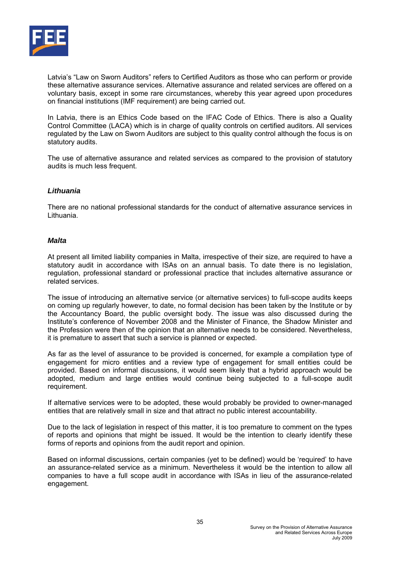

Latvia's "Law on Sworn Auditors" refers to Certified Auditors as those who can perform or provide these alternative assurance services. Alternative assurance and related services are offered on a voluntary basis, except in some rare circumstances, whereby this year agreed upon procedures on financial institutions (IMF requirement) are being carried out.

In Latvia, there is an Ethics Code based on the IFAC Code of Ethics. There is also a Quality Control Committee (LACA) which is in charge of quality controls on certified auditors. All services regulated by the Law on Sworn Auditors are subject to this quality control although the focus is on statutory audits.

The use of alternative assurance and related services as compared to the provision of statutory audits is much less frequent.

#### *Lithuania*

There are no national professional standards for the conduct of alternative assurance services in Lithuania.

#### *Malta*

At present all limited liability companies in Malta, irrespective of their size, are required to have a statutory audit in accordance with ISAs on an annual basis. To date there is no legislation, regulation, professional standard or professional practice that includes alternative assurance or related services.

The issue of introducing an alternative service (or alternative services) to full-scope audits keeps on coming up regularly however, to date, no formal decision has been taken by the Institute or by the Accountancy Board, the public oversight body. The issue was also discussed during the Institute's conference of November 2008 and the Minister of Finance, the Shadow Minister and the Profession were then of the opinion that an alternative needs to be considered. Nevertheless, it is premature to assert that such a service is planned or expected.

As far as the level of assurance to be provided is concerned, for example a compilation type of engagement for micro entities and a review type of engagement for small entities could be provided. Based on informal discussions, it would seem likely that a hybrid approach would be adopted, medium and large entities would continue being subjected to a full-scope audit requirement.

If alternative services were to be adopted, these would probably be provided to owner-managed entities that are relatively small in size and that attract no public interest accountability.

Due to the lack of legislation in respect of this matter, it is too premature to comment on the types of reports and opinions that might be issued. It would be the intention to clearly identify these forms of reports and opinions from the audit report and opinion.

Based on informal discussions, certain companies (yet to be defined) would be 'required' to have an assurance-related service as a minimum. Nevertheless it would be the intention to allow all companies to have a full scope audit in accordance with ISAs in lieu of the assurance-related engagement.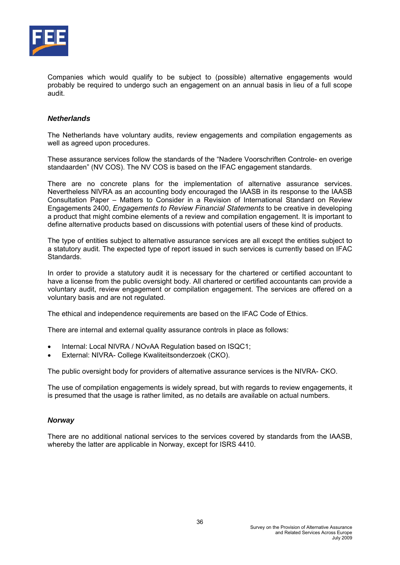

Companies which would qualify to be subject to (possible) alternative engagements would probably be required to undergo such an engagement on an annual basis in lieu of a full scope audit.

#### *Netherlands*

The Netherlands have voluntary audits, review engagements and compilation engagements as well as agreed upon procedures.

These assurance services follow the standards of the "Nadere Voorschriften Controle- en overige standaarden" (NV COS). The NV COS is based on the IFAC engagement standards.

There are no concrete plans for the implementation of alternative assurance services. Nevertheless NIVRA as an accounting body encouraged the IAASB in its response to the IAASB Consultation Paper – Matters to Consider in a Revision of International Standard on Review Engagements 2400, *Engagements to Review Financial Statements* to be creative in developing a product that might combine elements of a review and compilation engagement. It is important to define alternative products based on discussions with potential users of these kind of products.

The type of entities subject to alternative assurance services are all except the entities subject to a statutory audit. The expected type of report issued in such services is currently based on IFAC Standards.

In order to provide a statutory audit it is necessary for the chartered or certified accountant to have a license from the public oversight body. All chartered or certified accountants can provide a voluntary audit, review engagement or compilation engagement. The services are offered on a voluntary basis and are not regulated.

The ethical and independence requirements are based on the IFAC Code of Ethics.

There are internal and external quality assurance controls in place as follows:

- Internal: Local NIVRA / NOvAA Regulation based on ISQC1;
- External: NIVRA- College Kwaliteitsonderzoek (CKO).

The public oversight body for providers of alternative assurance services is the NIVRA- CKO.

The use of compilation engagements is widely spread, but with regards to review engagements, it is presumed that the usage is rather limited, as no details are available on actual numbers.

#### *Norway*

There are no additional national services to the services covered by standards from the IAASB, whereby the latter are applicable in Norway, except for ISRS 4410.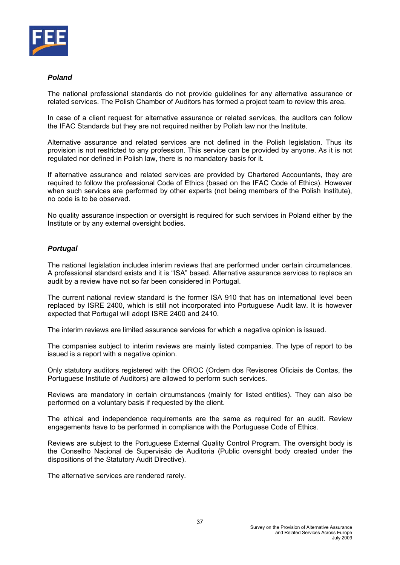

# *Poland*

The national professional standards do not provide guidelines for any alternative assurance or related services. The Polish Chamber of Auditors has formed a project team to review this area.

In case of a client request for alternative assurance or related services, the auditors can follow the IFAC Standards but they are not required neither by Polish law nor the Institute.

Alternative assurance and related services are not defined in the Polish legislation. Thus its provision is not restricted to any profession. This service can be provided by anyone. As it is not regulated nor defined in Polish law, there is no mandatory basis for it.

If alternative assurance and related services are provided by Chartered Accountants, they are required to follow the professional Code of Ethics (based on the IFAC Code of Ethics). However when such services are performed by other experts (not being members of the Polish Institute), no code is to be observed.

No quality assurance inspection or oversight is required for such services in Poland either by the Institute or by any external oversight bodies.

# *Portugal*

The national legislation includes interim reviews that are performed under certain circumstances. A professional standard exists and it is "ISA" based. Alternative assurance services to replace an audit by a review have not so far been considered in Portugal.

The current national review standard is the former ISA 910 that has on international level been replaced by ISRE 2400, which is still not incorporated into Portuguese Audit law. It is however expected that Portugal will adopt ISRE 2400 and 2410.

The interim reviews are limited assurance services for which a negative opinion is issued.

The companies subject to interim reviews are mainly listed companies. The type of report to be issued is a report with a negative opinion.

Only statutory auditors registered with the OROC (Ordem dos Revisores Oficiais de Contas, the Portuguese Institute of Auditors) are allowed to perform such services.

Reviews are mandatory in certain circumstances (mainly for listed entities). They can also be performed on a voluntary basis if requested by the client.

The ethical and independence requirements are the same as required for an audit. Review engagements have to be performed in compliance with the Portuguese Code of Ethics.

Reviews are subject to the Portuguese External Quality Control Program. The oversight body is the Conselho Nacional de Supervisão de Auditoria (Public oversight body created under the dispositions of the Statutory Audit Directive).

The alternative services are rendered rarely.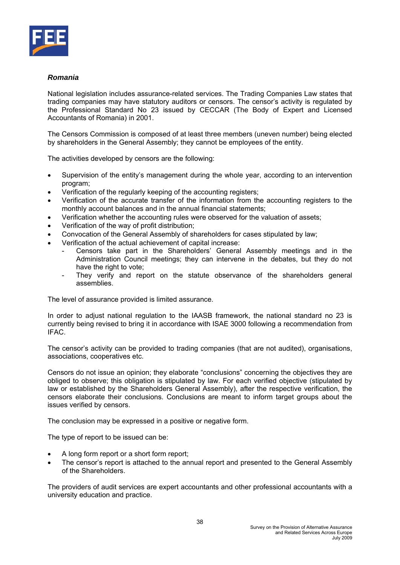

# *Romania*

National legislation includes assurance-related services. The Trading Companies Law states that trading companies may have statutory auditors or censors. The censor's activity is regulated by the Professional Standard No 23 issued by CECCAR (The Body of Expert and Licensed Accountants of Romania) in 2001.

The Censors Commission is composed of at least three members (uneven number) being elected by shareholders in the General Assembly; they cannot be employees of the entity.

The activities developed by censors are the following:

- Supervision of the entity's management during the whole year, according to an intervention program;
- Verification of the regularly keeping of the accounting registers:
- Verification of the accurate transfer of the information from the accounting registers to the monthly account balances and in the annual financial statements;
- Verification whether the accounting rules were observed for the valuation of assets;
- Verification of the way of profit distribution;
- Convocation of the General Assembly of shareholders for cases stipulated by law;
- Verification of the actual achievement of capital increase:
	- Censors take part in the Shareholders' General Assembly meetings and in the Administration Council meetings; they can intervene in the debates, but they do not have the right to vote;
	- They verify and report on the statute observance of the shareholders general assemblies.

The level of assurance provided is limited assurance.

In order to adjust national regulation to the IAASB framework, the national standard no 23 is currently being revised to bring it in accordance with ISAE 3000 following a recommendation from IFAC.

The censor's activity can be provided to trading companies (that are not audited), organisations, associations, cooperatives etc.

Censors do not issue an opinion; they elaborate "conclusions" concerning the objectives they are obliged to observe; this obligation is stipulated by law. For each verified objective (stipulated by law or established by the Shareholders General Assembly), after the respective verification, the censors elaborate their conclusions. Conclusions are meant to inform target groups about the issues verified by censors.

The conclusion may be expressed in a positive or negative form.

The type of report to be issued can be:

- A long form report or a short form report;
- The censor's report is attached to the annual report and presented to the General Assembly of the Shareholders.

The providers of audit services are expert accountants and other professional accountants with a university education and practice.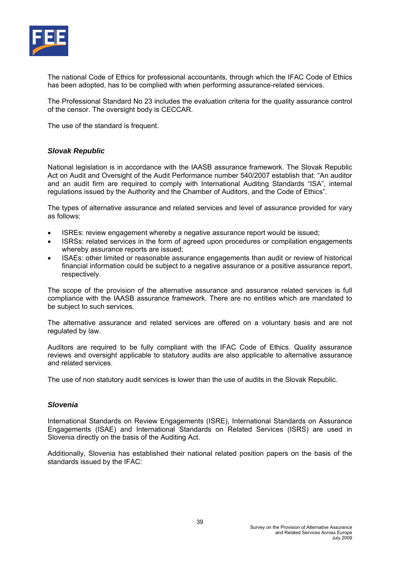

The national Code of Ethics for professional accountants, through which the IFAC Code of Ethics has been adopted, has to be complied with when performing assurance-related services.

The Professional Standard No 23 includes the evaluation criteria for the quality assurance control of the censor. The oversight body is CECCAR.

The use of the standard is frequent.

#### *Slovak Republic*

National legislation is in accordance with the IAASB assurance framework. The Slovak Republic Act on Audit and Oversight of the Audit Performance number 540/2007 establish that: "An auditor and an audit firm are required to comply with International Auditing Standards "ISA", internal regulations issued by the Authority and the Chamber of Auditors, and the Code of Ethics".

The types of alternative assurance and related services and level of assurance provided for vary as follows:

- ISREs: review engagement whereby a negative assurance report would be issued:
- ISRSs: related services in the form of agreed upon procedures or compilation engagements whereby assurance reports are issued;
- ISAEs: other limited or reasonable assurance engagements than audit or review of historical financial information could be subject to a negative assurance or a positive assurance report, respectively.

The scope of the provision of the alternative assurance and assurance related services is full compliance with the IAASB assurance framework. There are no entities which are mandated to be subject to such services.

The alternative assurance and related services are offered on a voluntary basis and are not regulated by law.

Auditors are required to be fully compliant with the IFAC Code of Ethics. Quality assurance reviews and oversight applicable to statutory audits are also applicable to alternative assurance and related services.

The use of non statutory audit services is lower than the use of audits in the Slovak Republic.

#### *Slovenia*

International Standards on Review Engagements (ISRE), International Standards on Assurance Engagements (ISAE) and International Standards on Related Services (ISRS) are used in Slovenia directly on the basis of the Auditing Act.

Additionally, Slovenia has established their national related position papers on the basis of the standards issued by the IFAC: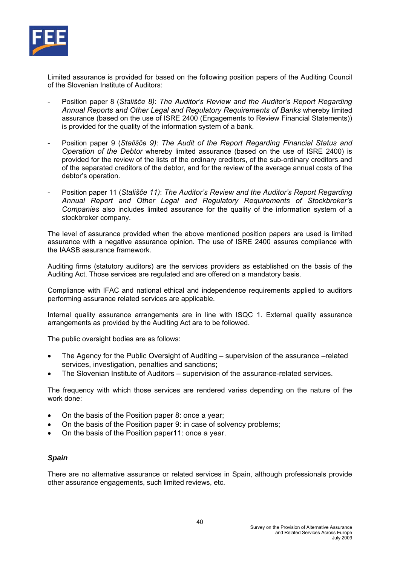

Limited assurance is provided for based on the following position papers of the Auditing Council of the Slovenian Institute of Auditors:

- Position paper 8 (*Stališče 8)*: *The Auditor's Review and the Auditor's Report Regarding Annual Reports and Other Legal and Regulatory Requirements of Banks* whereby limited assurance (based on the use of ISRE 2400 (Engagements to Review Financial Statements)) is provided for the quality of the information system of a bank.
- Position paper 9 (*Stališče 9)*: *The Audit of the Report Regarding Financial Status and Operation of the Debtor* whereby limited assurance (based on the use of ISRE 2400) is provided for the review of the lists of the ordinary creditors, of the sub-ordinary creditors and of the separated creditors of the debtor, and for the review of the average annual costs of the debtor's operation.
- Position paper 11 (*Stališče 11)*: *The Auditor's Review and the Auditor's Report Regarding Annual Report and Other Legal and Regulatory Requirements of Stockbroker's Companies* also includes limited assurance for the quality of the information system of a stockbroker company.

The level of assurance provided when the above mentioned position papers are used is limited assurance with a negative assurance opinion. The use of ISRE 2400 assures compliance with the IAASB assurance framework.

Auditing firms (statutory auditors) are the services providers as established on the basis of the Auditing Act. Those services are regulated and are offered on a mandatory basis.

Compliance with IFAC and national ethical and independence requirements applied to auditors performing assurance related services are applicable.

Internal quality assurance arrangements are in line with ISQC 1. External quality assurance arrangements as provided by the Auditing Act are to be followed.

The public oversight bodies are as follows:

- The Agency for the Public Oversight of Auditing supervision of the assurance –related services, investigation, penalties and sanctions;
- The Slovenian Institute of Auditors supervision of the assurance-related services.

The frequency with which those services are rendered varies depending on the nature of the work done:

- On the basis of the Position paper 8: once a year;
- On the basis of the Position paper 9: in case of solvency problems;
- On the basis of the Position paper11: once a year.

#### *Spain*

There are no alternative assurance or related services in Spain, although professionals provide other assurance engagements, such limited reviews, etc.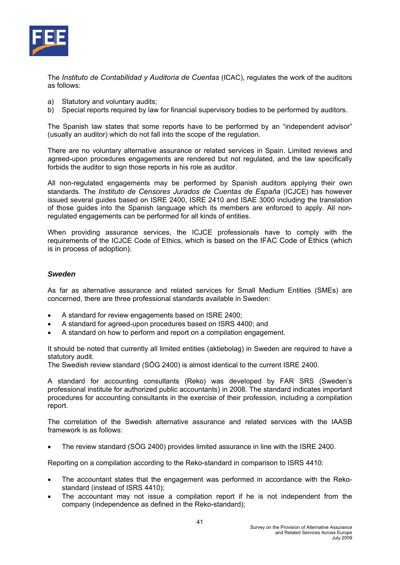

The *Instituto de Contabilidad y Auditoria de Cuentas* (ICAC), regulates the work of the auditors as follows:

- a) Statutory and voluntary audits;
- b) Special reports required by law for financial supervisory bodies to be performed by auditors.

The Spanish law states that some reports have to be performed by an "independent advisor" (usually an auditor) which do not fall into the scope of the regulation.

There are no voluntary alternative assurance or related services in Spain. Limited reviews and agreed-upon procedures engagements are rendered but not regulated, and the law specifically forbids the auditor to sign those reports in his role as auditor.

All non-regulated engagements may be performed by Spanish auditors applying their own standards. The *Instituto de Censores Jurados de Cuentas de España* (ICJCE) has however issued several guides based on ISRE 2400, ISRE 2410 and ISAE 3000 including the translation of those guides into the Spanish language which its members are enforced to apply. All nonregulated engagements can be performed for all kinds of entities.

When providing assurance services, the ICJCE professionals have to comply with the requirements of the ICJCE Code of Ethics, which is based on the IFAC Code of Ethics (which is in process of adoption).

#### *Sweden*

As far as alternative assurance and related services for Small Medium Entities (SMEs) are concerned, there are three professional standards available in Sweden:

- A standard for review engagements based on ISRE 2400;
- A standard for agreed-upon procedures based on ISRS 4400; and
- A standard on how to perform and report on a compilation engagement.

It should be noted that currently all limited entities (aktiebolag) in Sweden are required to have a statutory audit.

The Swedish review standard (SÖG 2400) is almost identical to the current ISRE 2400.

A standard for accounting consultants (Reko) was developed by FAR SRS (Sweden's professional institute for authorized public accountants) in 2008. The standard indicates important procedures for accounting consultants in the exercise of their profession, including a compilation report.

The correlation of the Swedish alternative assurance and related services with the IAASB framework is as follows:

• The review standard (SÖG 2400) provides limited assurance in line with the ISRE 2400.

Reporting on a compilation according to the Reko-standard in comparison to ISRS 4410:

- The accountant states that the engagement was performed in accordance with the Rekostandard (instead of ISRS 4410);
- The accountant may not issue a compilation report if he is not independent from the company (independence as defined in the Reko-standard);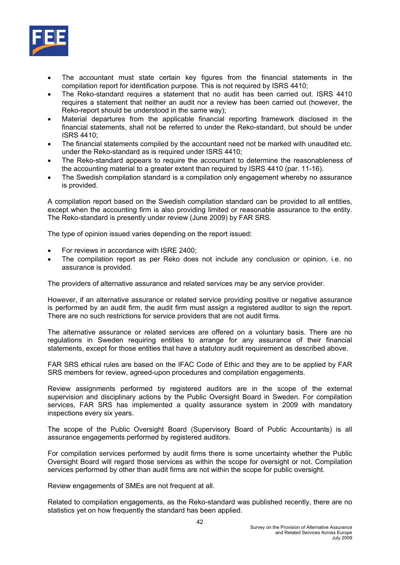

- The accountant must state certain key figures from the financial statements in the compilation report for identification purpose. This is not required by ISRS 4410;
- The Reko-standard requires a statement that no audit has been carried out. ISRS 4410 requires a statement that neither an audit nor a review has been carried out (however, the Reko-report should be understood in the same way);
- Material departures from the applicable financial reporting framework disclosed in the financial statements, shall not be referred to under the Reko-standard, but should be under ISRS 4410;
- The financial statements compiled by the accountant need not be marked with unaudited etc. under the Reko-standard as is required under ISRS 4410;
- The Reko-standard appears to require the accountant to determine the reasonableness of the accounting material to a greater extent than required by ISRS 4410 (par. 11-16).
- The Swedish compilation standard is a compilation only engagement whereby no assurance is provided.

A compilation report based on the Swedish compilation standard can be provided to all entities, except when the accounting firm is also providing limited or reasonable assurance to the entity. The Reko-standard is presently under review (June 2009) by FAR SRS.

The type of opinion issued varies depending on the report issued:

- For reviews in accordance with ISRE 2400;
- The compilation report as per Reko does not include any conclusion or opinion, i.e. no assurance is provided.

The providers of alternative assurance and related services may be any service provider.

However, if an alternative assurance or related service providing positive or negative assurance is performed by an audit firm, the audit firm must assign a registered auditor to sign the report. There are no such restrictions for service providers that are not audit firms.

The alternative assurance or related services are offered on a voluntary basis. There are no regulations in Sweden requiring entities to arrange for any assurance of their financial statements, except for those entities that have a statutory audit requirement as described above.

FAR SRS ethical rules are based on the IFAC Code of Ethic and they are to be applied by FAR SRS members for review, agreed-upon procedures and compilation engagements.

Review assignments performed by registered auditors are in the scope of the external supervision and disciplinary actions by the Public Oversight Board in Sweden. For compilation services, FAR SRS has implemented a quality assurance system in 2009 with mandatory inspections every six years.

The scope of the Public Oversight Board (Supervisory Board of Public Accountants) is all assurance engagements performed by registered auditors.

For compilation services performed by audit firms there is some uncertainty whether the Public Oversight Board will regard those services as within the scope for oversight or not. Compilation services performed by other than audit firms are not within the scope for public oversight.

Review engagements of SMEs are not frequent at all.

Related to compilation engagements, as the Reko-standard was published recently, there are no statistics yet on how frequently the standard has been applied.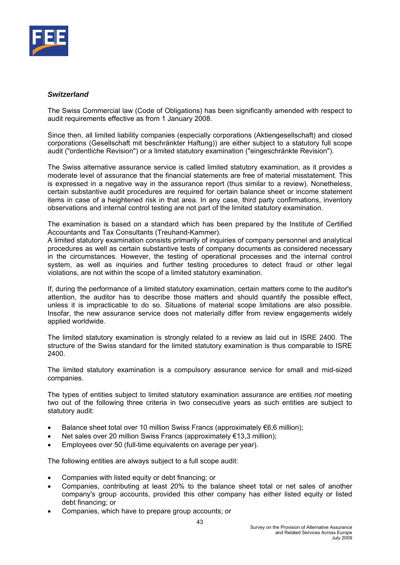

#### *Switzerland*

The Swiss Commercial law (Code of Obligations) has been significantly amended with respect to audit requirements effective as from 1 January 2008.

Since then, all limited liability companies (especially corporations (Aktiengesellschaft) and closed corporations (Gesellschaft mit beschränkter Haftung)) are either subject to a statutory full scope audit ("ordentliche Revision") or a limited statutory examination ("eingeschränkte Revision").

The Swiss alternative assurance service is called limited statutory examination, as it provides a moderate level of assurance that the financial statements are free of material misstatement. This is expressed in a negative way in the assurance report (thus similar to a review). Nonetheless, certain substantive audit procedures are required for certain balance sheet or income statement items in case of a heightened risk in that area. In any case, third party confirmations, inventory observations and internal control testing are not part of the limited statutory examination.

The examination is based on a standard which has been prepared by the Institute of Certified Accountants and Tax Consultants (Treuhand-Kammer).

A limited statutory examination consists primarily of inquiries of company personnel and analytical procedures as well as certain substantive tests of company documents as considered necessary in the circumstances. However, the testing of operational processes and the internal control system, as well as inquiries and further testing procedures to detect fraud or other legal violations, are not within the scope of a limited statutory examination.

If, during the performance of a limited statutory examination, certain matters come to the auditor's attention, the auditor has to describe those matters and should quantify the possible effect, unless it is impracticable to do so. Situations of material scope limitations are also possible. Insofar, the new assurance service does not materially differ from review engagements widely applied worldwide.

The limited statutory examination is strongly related to a review as laid out in ISRE 2400. The structure of the Swiss standard for the limited statutory examination is thus comparable to ISRE 2400.

The limited statutory examination is a compulsory assurance service for small and mid-sized companies.

The types of entities subject to limited statutory examination assurance are entities *not* meeting two out of the following three criteria in two consecutive years as such entities are subject to statutory audit:

- Balance sheet total over 10 million Swiss Francs (approximately €6,6 million);
- Net sales over 20 million Swiss Francs (approximately €13,3 million);
- Employees over 50 (full-time equivalents on average per year).

The following entities are always subject to a full scope audit:

- Companies with listed equity or debt financing; or
- Companies, contributing at least 20% to the balance sheet total or net sales of another company's group accounts, provided this other company has either listed equity or listed debt financing; or
- Companies, which have to prepare group accounts; or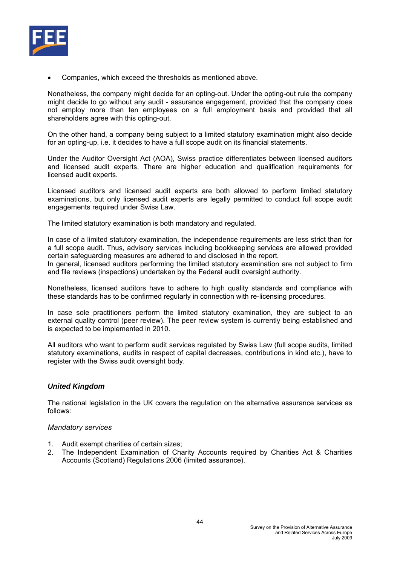

• Companies, which exceed the thresholds as mentioned above.

Nonetheless, the company might decide for an opting-out. Under the opting-out rule the company might decide to go without any audit - assurance engagement, provided that the company does not employ more than ten employees on a full employment basis and provided that all shareholders agree with this opting-out.

On the other hand, a company being subject to a limited statutory examination might also decide for an opting-up, i.e. it decides to have a full scope audit on its financial statements.

Under the Auditor Oversight Act (AOA), Swiss practice differentiates between licensed auditors and licensed audit experts. There are higher education and qualification requirements for licensed audit experts.

Licensed auditors and licensed audit experts are both allowed to perform limited statutory examinations, but only licensed audit experts are legally permitted to conduct full scope audit engagements required under Swiss Law.

The limited statutory examination is both mandatory and regulated.

In case of a limited statutory examination, the independence requirements are less strict than for a full scope audit. Thus, advisory services including bookkeeping services are allowed provided certain safeguarding measures are adhered to and disclosed in the report.

In general, licensed auditors performing the limited statutory examination are not subject to firm and file reviews (inspections) undertaken by the Federal audit oversight authority.

Nonetheless, licensed auditors have to adhere to high quality standards and compliance with these standards has to be confirmed regularly in connection with re-licensing procedures.

In case sole practitioners perform the limited statutory examination, they are subject to an external quality control (peer review). The peer review system is currently being established and is expected to be implemented in 2010.

All auditors who want to perform audit services regulated by Swiss Law (full scope audits, limited statutory examinations, audits in respect of capital decreases, contributions in kind etc.), have to register with the Swiss audit oversight body.

# *United Kingdom*

The national legislation in the UK covers the regulation on the alternative assurance services as follows:

#### *Mandatory services*

- 1. Audit exempt charities of certain sizes;
- 2. The Independent Examination of Charity Accounts required by Charities Act & Charities Accounts (Scotland) Regulations 2006 (limited assurance).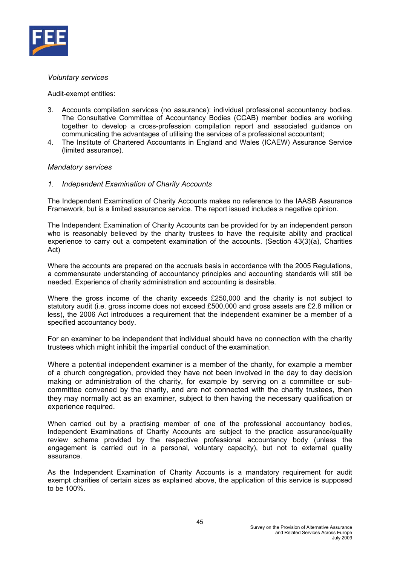

#### *Voluntary services*

Audit-exempt entities:

- 3. Accounts compilation services (no assurance): individual professional accountancy bodies. The Consultative Committee of Accountancy Bodies (CCAB) member bodies are working together to develop a cross-profession compilation report and associated guidance on communicating the advantages of utilising the services of a professional accountant;
- 4. The Institute of Chartered Accountants in England and Wales (ICAEW) Assurance Service (limited assurance).

#### *Mandatory services*

#### *1. Independent Examination of Charity Accounts*

The Independent Examination of Charity Accounts makes no reference to the IAASB Assurance Framework, but is a limited assurance service. The report issued includes a negative opinion.

The Independent Examination of Charity Accounts can be provided for by an independent person who is reasonably believed by the charity trustees to have the requisite ability and practical experience to carry out a competent examination of the accounts. (Section 43(3)(a), Charities Act)

Where the accounts are prepared on the accruals basis in accordance with the 2005 Regulations, a commensurate understanding of accountancy principles and accounting standards will still be needed. Experience of charity administration and accounting is desirable.

Where the gross income of the charity exceeds £250,000 and the charity is not subject to statutory audit (i.e. gross income does not exceed £500,000 and gross assets are £2.8 million or less), the 2006 Act introduces a requirement that the independent examiner be a member of a specified accountancy body.

For an examiner to be independent that individual should have no connection with the charity trustees which might inhibit the impartial conduct of the examination.

Where a potential independent examiner is a member of the charity, for example a member of a church congregation, provided they have not been involved in the day to day decision making or administration of the charity, for example by serving on a committee or subcommittee convened by the charity, and are not connected with the charity trustees, then they may normally act as an examiner, subject to then having the necessary qualification or experience required.

When carried out by a practising member of one of the professional accountancy bodies, Independent Examinations of Charity Accounts are subject to the practice assurance/quality review scheme provided by the respective professional accountancy body (unless the engagement is carried out in a personal, voluntary capacity), but not to external quality assurance.

As the Independent Examination of Charity Accounts is a mandatory requirement for audit exempt charities of certain sizes as explained above, the application of this service is supposed to be 100%.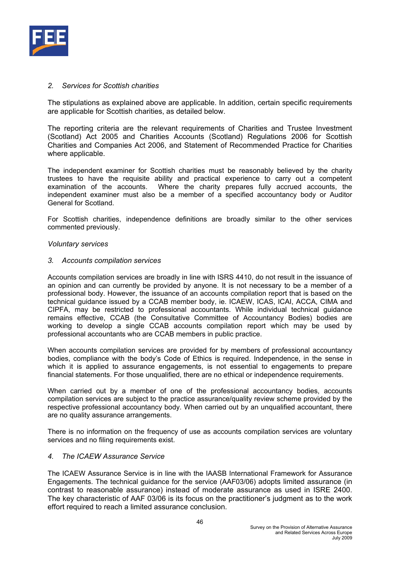

#### *2. Services for Scottish charities*

The stipulations as explained above are applicable. In addition, certain specific requirements are applicable for Scottish charities, as detailed below.

The reporting criteria are the relevant requirements of Charities and Trustee Investment (Scotland) Act 2005 and Charities Accounts (Scotland) Regulations 2006 for Scottish Charities and Companies Act 2006, and Statement of Recommended Practice for Charities where applicable.

The independent examiner for Scottish charities must be reasonably believed by the charity trustees to have the requisite ability and practical experience to carry out a competent examination of the accounts. Where the charity prepares fully accrued accounts, the independent examiner must also be a member of a specified accountancy body or Auditor General for Scotland.

For Scottish charities, independence definitions are broadly similar to the other services commented previously.

#### *Voluntary services*

#### *3. Accounts compilation services*

Accounts compilation services are broadly in line with ISRS 4410, do not result in the issuance of an opinion and can currently be provided by anyone. It is not necessary to be a member of a professional body. However, the issuance of an accounts compilation report that is based on the technical guidance issued by a CCAB member body, ie. ICAEW, ICAS, ICAI, ACCA, CIMA and CIPFA, may be restricted to professional accountants. While individual technical guidance remains effective, CCAB (the Consultative Committee of Accountancy Bodies) bodies are working to develop a single CCAB accounts compilation report which may be used by professional accountants who are CCAB members in public practice.

When accounts compilation services are provided for by members of professional accountancy bodies, compliance with the body's Code of Ethics is required. Independence, in the sense in which it is applied to assurance engagements, is not essential to engagements to prepare financial statements. For those unqualified, there are no ethical or independence requirements.

When carried out by a member of one of the professional accountancy bodies, accounts compilation services are subject to the practice assurance/quality review scheme provided by the respective professional accountancy body. When carried out by an unqualified accountant, there are no quality assurance arrangements.

There is no information on the frequency of use as accounts compilation services are voluntary services and no filing requirements exist.

#### *4. The ICAEW Assurance Service*

The ICAEW Assurance Service is in line with the IAASB International Framework for Assurance Engagements. The technical guidance for the service (AAF03/06) adopts limited assurance (in contrast to reasonable assurance) instead of moderate assurance as used in ISRE 2400. The key characteristic of AAF 03/06 is its focus on the practitioner's judgment as to the work effort required to reach a limited assurance conclusion.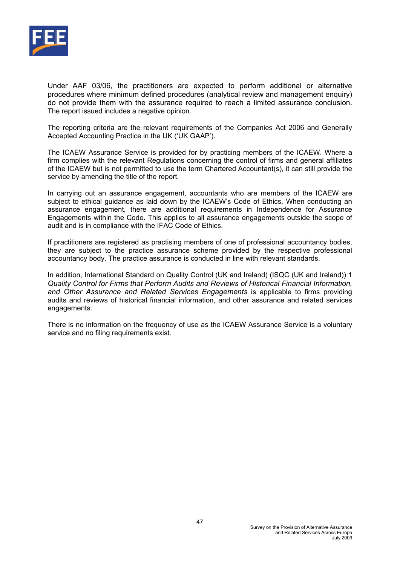

Under AAF 03/06, the practitioners are expected to perform additional or alternative procedures where minimum defined procedures (analytical review and management enquiry) do not provide them with the assurance required to reach a limited assurance conclusion. The report issued includes a negative opinion.

The reporting criteria are the relevant requirements of the Companies Act 2006 and Generally Accepted Accounting Practice in the UK ('UK GAAP').

The ICAEW Assurance Service is provided for by practicing members of the ICAEW. Where a firm complies with the relevant Regulations concerning the control of firms and general affiliates of the ICAEW but is not permitted to use the term Chartered Accountant(s), it can still provide the service by amending the title of the report.

In carrying out an assurance engagement, accountants who are members of the ICAEW are subject to ethical guidance as laid down by the ICAEW's Code of Ethics. When conducting an assurance engagement, there are additional requirements in Independence for Assurance Engagements within the Code. This applies to all assurance engagements outside the scope of audit and is in compliance with the IFAC Code of Ethics.

If practitioners are registered as practising members of one of professional accountancy bodies, they are subject to the practice assurance scheme provided by the respective professional accountancy body. The practice assurance is conducted in line with relevant standards.

In addition, International Standard on Quality Control (UK and Ireland) (ISQC (UK and Ireland)) 1 *Quality Control for Firms that Perform Audits and Reviews of Historical Financial Information, and Other Assurance and Related Services Engagements* is applicable to firms providing audits and reviews of historical financial information, and other assurance and related services engagements.

There is no information on the frequency of use as the ICAEW Assurance Service is a voluntary service and no filing requirements exist.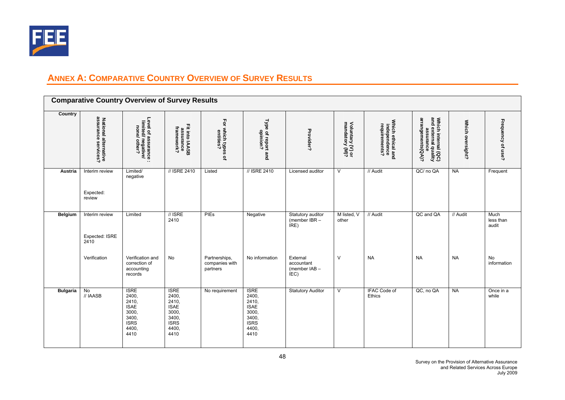

# **ANNEX A: COMPARATIVE COUNTRY OVERVIEW OF SURVEY RESULTS**

|                 |                                             | <b>Comparative Country Overview of Survey Results</b>                                          |                                                                                                |                                                   |                                                                                                |                                                 |                                    |                                                    |                                                                               |                  |                            |
|-----------------|---------------------------------------------|------------------------------------------------------------------------------------------------|------------------------------------------------------------------------------------------------|---------------------------------------------------|------------------------------------------------------------------------------------------------|-------------------------------------------------|------------------------------------|----------------------------------------------------|-------------------------------------------------------------------------------|------------------|----------------------------|
| Country         | National alternative<br>assurance services? | Level of assurance :<br>limited/ negative/<br>none/ other?<br>$\cdot$ .                        | Fit into IAASB<br>assurance<br>framework?                                                      | Ęor<br>which types<br>entities?<br>$\overline{a}$ | Type of report and<br>opinion?                                                                 | Provider?                                       | Voluntary (V) or<br>mandatory (M)? | Which ethical and<br>independence<br>requirements? | Which internal (QC)<br>and external quality<br>assurance<br>arrangements(QA)? | Which oversight? | Frequency of use?          |
| Austria         | Interim review<br>Expected:<br>review       | Limited/<br>negative                                                                           | // ISRE 2410                                                                                   | Listed                                            | // ISRE 2410                                                                                   | Licensed auditor                                | V                                  | // Audit                                           | QC/ no QA                                                                     | <b>NA</b>        | Frequent                   |
| <b>Belgium</b>  | Interim review<br>Expected: ISRE<br>2410    | Limited                                                                                        | $\frac{\pi}{2}$ ISRE<br>2410                                                                   | <b>PIEs</b>                                       | Negative                                                                                       | Statutory auditor<br>(member $IBR -$<br>IRE)    | M listed, V<br>other               | // Audit                                           | QC and QA                                                                     | // Audit         | Much<br>less than<br>audit |
|                 | Verification                                | Verification and<br>correction of<br>accounting<br>records                                     | No                                                                                             | Partnerships,<br>companies with<br>partners       | No information                                                                                 | External<br>accountant<br>(member IAB -<br>IEC) | $\vee$                             | <b>NA</b>                                          | <b>NA</b>                                                                     | <b>NA</b>        | No<br>information          |
| <b>Bulgaria</b> | $\overline{N}$<br>// IAASB                  | <b>ISRE</b><br>2400,<br>2410,<br><b>ISAE</b><br>3000,<br>3400,<br><b>ISRS</b><br>4400.<br>4410 | <b>ISRE</b><br>2400,<br>2410,<br><b>ISAE</b><br>3000,<br>3400,<br><b>ISRS</b><br>4400,<br>4410 | No requirement                                    | <b>ISRE</b><br>2400,<br>2410,<br><b>ISAE</b><br>3000.<br>3400,<br><b>ISRS</b><br>4400,<br>4410 | <b>Statutory Auditor</b>                        | $\overline{V}$                     | IFAC Code of<br>Ethics                             | QC, no QA                                                                     | <b>NA</b>        | Once in a<br>while         |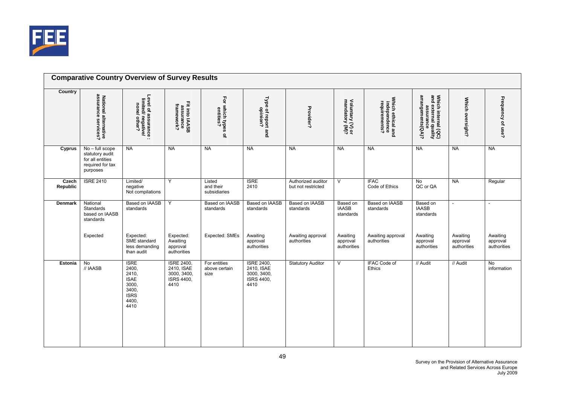

|                   |                                                                                        | <b>Comparative Country Overview of Survey Results</b>                                          |                                                                      |                                       |                                                                      |                                          |                                       |                                                    |                                                                                                       |                                     |                                     |
|-------------------|----------------------------------------------------------------------------------------|------------------------------------------------------------------------------------------------|----------------------------------------------------------------------|---------------------------------------|----------------------------------------------------------------------|------------------------------------------|---------------------------------------|----------------------------------------------------|-------------------------------------------------------------------------------------------------------|-------------------------------------|-------------------------------------|
| Country           | National alternative<br>assurance services?                                            | Level of assurance :<br>limited/ negative/<br>none/ other?                                     | Fit into IAASB<br>assurance<br>framework?                            | For which types of<br>entities?       | Type of report and<br>opinion?                                       | Provider?                                | Voluntary (V) or<br>mandatory (M)?    | Which ethical and<br>independence<br>requirements? | Which internal $(\mathbf{QC})$<br>and external quality<br>assurance<br>arrangements( $\mathbf{Q}$ A)? | Which oversight?                    | Frequency of use?                   |
| Cyprus            | No - full scope<br>statutory audit<br>for all entities<br>required for tax<br>purposes | NA                                                                                             | <b>NA</b>                                                            | <b>NA</b>                             | <b>NA</b>                                                            | <b>NA</b>                                | <b>NA</b>                             | <b>NA</b>                                          | <b>NA</b>                                                                                             | <b>NA</b>                           | <b>NA</b>                           |
| Czech<br>Republic | <b>ISRE 2410</b>                                                                       | Limited/<br>negative<br>Not compilations                                                       | Y                                                                    | Listed<br>and their<br>subsidiaries   | <b>ISRE</b><br>2410                                                  | Authorized auditor<br>but not restricted | $\vee$                                | <b>IFAC</b><br>Code of Ethics                      | <b>No</b><br>QC or QA                                                                                 | <b>NA</b>                           | Regular                             |
| <b>Denmark</b>    | National<br>Standards<br>based on IAASB<br>standards                                   | Based on IAASB<br>standards                                                                    | Y                                                                    | Based on IAASB<br>standards           | Based on IAASB<br>standards                                          | Based on IAASB<br>standards              | Based on<br><b>IAASB</b><br>standards | Based on IAASB<br>standards                        | Based on<br><b>IAASB</b><br>standards                                                                 |                                     |                                     |
|                   | Expected                                                                               | Expected:<br>SME standard<br>less demanding<br>than audit                                      | Expected:<br>Awaiting<br>approval<br>authorities                     | Expected: SMEs                        | Awaiting<br>approval<br>authorities                                  | Awaiting approval<br>authorities         | Awaiting<br>approval<br>authorities   | Awaiting approval<br>authorities                   | Awaiting<br>approval<br>authorities                                                                   | Awaiting<br>approval<br>authorities | Awaiting<br>approval<br>authorities |
| Estonia           | $\overline{N}$<br>// IAASB                                                             | <b>ISRE</b><br>2400,<br>2410,<br><b>ISAE</b><br>3000,<br>3400,<br><b>ISRS</b><br>4400,<br>4410 | <b>ISRE 2400,</b><br>2410, ISAE<br>3000, 3400,<br>ISRS 4400.<br>4410 | For entities<br>above certain<br>size | <b>ISRE 2400,</b><br>2410, ISAE<br>3000, 3400,<br>ISRS 4400.<br>4410 | <b>Statutory Auditor</b>                 | V                                     | <b>IFAC Code of</b><br>Ethics                      | // Audit                                                                                              | // Audit                            | $\overline{N}$<br>information       |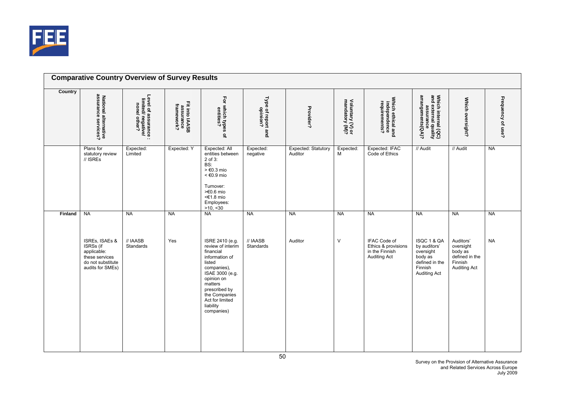

| <b>Country</b> | assurance<br>National alternative<br>assurance services?                                              | Level of assurance :<br>limited/ negative/<br>none/ other? | Fit into IAASB<br>assurance<br>framework? | For which types of<br>entities?                                                                                                                                                                                          | Type of report and<br>opinion? | Provider?                      | Voluntary (V) or<br>mandatory (M)? | Which ethical and<br>independence<br>requirements?                           | Which internal (QC)<br>and external quality<br>assurance<br>arrangements(QA)?                           | Which oversight?                                                                      | Frequency of use? |
|----------------|-------------------------------------------------------------------------------------------------------|------------------------------------------------------------|-------------------------------------------|--------------------------------------------------------------------------------------------------------------------------------------------------------------------------------------------------------------------------|--------------------------------|--------------------------------|------------------------------------|------------------------------------------------------------------------------|---------------------------------------------------------------------------------------------------------|---------------------------------------------------------------------------------------|-------------------|
|                | Plans for<br>statutory review<br>$\frac{\pi}{2}$ ISREs                                                | Expected:<br>Limited                                       | Expected: Y                               | Expected: All<br>entities between<br>2 of 3:<br>BS:<br>$> \text{\large}60.3 \text{ mio}$<br>$<$ $\in$ 0.9 mio<br>Turnover:<br>>€0.6 mio<br><€1.8 mio<br>Employees:<br>>10, 30                                            | Expected:<br>negative          | Expected: Statutory<br>Auditor | Expected:<br>M                     | Expected: IFAC<br>Code of Ethics                                             | // Audit                                                                                                | // Audit                                                                              | <b>NA</b>         |
| Finland        | <b>NA</b>                                                                                             | <b>NA</b>                                                  | <b>NA</b>                                 | <b>NA</b>                                                                                                                                                                                                                | <b>NA</b>                      | <b>NA</b>                      | <b>NA</b>                          | <b>NA</b>                                                                    | <b>NA</b>                                                                                               | <b>NA</b>                                                                             | <b>NA</b>         |
|                | ISREs, ISAEs &<br>ISRSs (if<br>applicable:<br>these services<br>do not substitute<br>audits for SMEs) | // IAASB<br>Standards                                      | Yes                                       | ISRE 2410 (e.g.<br>review of interim<br>financial<br>information of<br>listed<br>companies),<br>ISAE 3000 (e.g.<br>opinion on<br>matters<br>prescribed by<br>the Companies<br>Act for limited<br>liability<br>companies) | // IAASB<br>Standards          | Auditor                        | $\vee$                             | IFAC Code of<br>Ethics & provisions<br>in the Finnish<br><b>Auditing Act</b> | ISQC 1 & QA<br>by auditors'<br>oversight<br>body as<br>defined in the<br>Finnish<br><b>Auditing Act</b> | Auditors'<br>oversight<br>body as<br>defined in the<br>Finnish<br><b>Auditing Act</b> | <b>NA</b>         |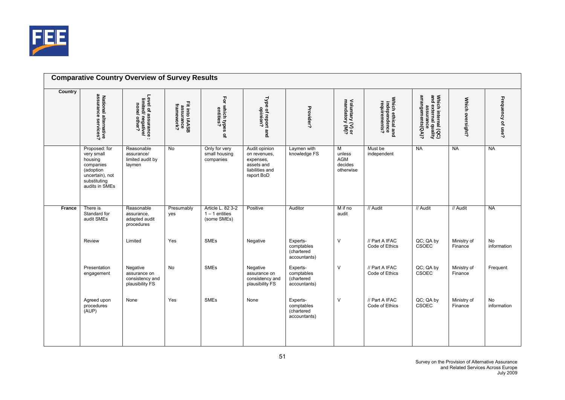

|         |                                                                                                                       | <b>Comparative Country Overview of Survey Results</b>                   |                                           |                                                      |                                                                                           |                                                      |                                            |                                                    |                                                                               |                        |                          |
|---------|-----------------------------------------------------------------------------------------------------------------------|-------------------------------------------------------------------------|-------------------------------------------|------------------------------------------------------|-------------------------------------------------------------------------------------------|------------------------------------------------------|--------------------------------------------|----------------------------------------------------|-------------------------------------------------------------------------------|------------------------|--------------------------|
| Country | National alternative<br>assurance services?                                                                           | Level of assurance :<br>limited/ negative/<br>none/ other?<br>$\cdot$ . | Fit into IAASB<br>assurance<br>framework? | For which types of<br>entities?                      | Type of report and<br>opinion?                                                            | Provider?                                            | Voluntary (V) or<br>mandatory (M)?         | Which ethical and<br>independence<br>requirements? | Which internal (QC)<br>and external quality<br>assurance<br>arrangements(QA)? | Which oversight?       | Frequency of use?        |
|         | Proposed: for<br>very small<br>housing<br>companies<br>(adoption<br>uncertain), not<br>substituting<br>audits in SMEs | Reasonable<br>assurance/<br>limited audit by<br>laymen                  | $\overline{N}$                            | Only for very<br>small housing<br>companies          | Audit opinion<br>on revenues,<br>expenses,<br>assets and<br>liabilities and<br>report BoD | Laymen with<br>knowledge FS                          | M<br>unless<br>AGM<br>decides<br>otherwise | Must be<br>independent                             | <b>NA</b>                                                                     | <b>NA</b>              | <b>NA</b>                |
| France  | There is<br>Standard for<br>audit SMEs                                                                                | Reasonable<br>assurance,<br>adapted audit<br>procedures                 | Presumably<br>yes                         | Article L. 82 3-2<br>$1 - 1$ entities<br>(some SMEs) | Positive                                                                                  | Auditor                                              | M if no<br>audit                           | // Audit                                           | // Audit                                                                      | // Audit               | <b>NA</b>                |
|         | Review                                                                                                                | Limited                                                                 | Yes                                       | <b>SMEs</b>                                          | Negative                                                                                  | Experts-<br>comptables<br>(chartered<br>accountants) | $\vee$                                     | // Part A IFAC<br>Code of Ethics                   | QC; QA by<br>CSOEC                                                            | Ministry of<br>Finance | <b>No</b><br>information |
|         | Presentation<br>engagement                                                                                            | Negative<br>assurance on<br>consistency and<br>plausibility FS          | No                                        | SMEs                                                 | Negative<br>assurance on<br>consistency and<br>plausibility FS                            | Experts-<br>comptables<br>(chartered<br>accountants) | $\vee$                                     | // Part A IFAC<br>Code of Ethics                   | QC; QA by<br>CSOEC                                                            | Ministry of<br>Finance | Frequent                 |
|         | Agreed upon<br>procedures<br>(AUP)                                                                                    | None                                                                    | Yes                                       | <b>SMEs</b>                                          | None                                                                                      | Experts-<br>comptables<br>(chartered<br>accountants) | $\vee$                                     | // Part A IFAC<br>Code of Ethics                   | QC; QA by<br>CSOEC                                                            | Ministry of<br>Finance | No<br>information        |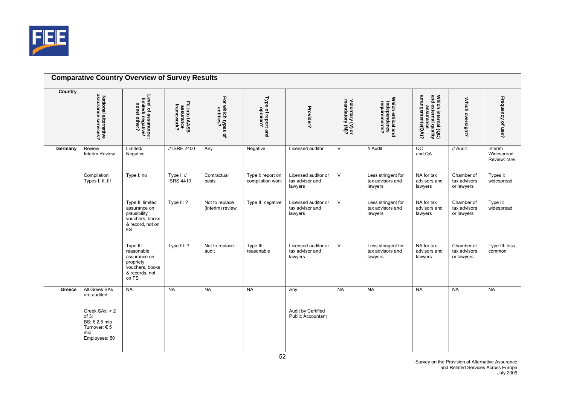

|         |                                                                                                                       | <b>Comparative Country Overview of Survey Results</b>                                                |                                           |                                    |                                       |                                                       |                                    |                                                    |                                                                               |                                          |                                       |
|---------|-----------------------------------------------------------------------------------------------------------------------|------------------------------------------------------------------------------------------------------|-------------------------------------------|------------------------------------|---------------------------------------|-------------------------------------------------------|------------------------------------|----------------------------------------------------|-------------------------------------------------------------------------------|------------------------------------------|---------------------------------------|
| Country | assurance<br>National alternative<br>assurance services?                                                              | Level of assurance :<br>limited/ negative/<br>none/ other?<br>$\cdot$ .                              | Fit into IAASB<br>assurance<br>framework? | For which types<br>entities?<br>٩  | Type of report and<br>opinion?        | Provider?                                             | Voluntary (V) or<br>mandatory (M)? | Which ethical and<br>independence<br>requirements? | Which internal (QC)<br>and external quality<br>assurance<br>arrangements(QA)? | Which oversight?                         | Frequency of use?                     |
| Germany | Review<br>Interim Review                                                                                              | Limited/<br>Negative                                                                                 | // ISRE 2400                              | Any                                | Negative                              | Licensed auditor                                      | $\overline{\mathsf{v}}$            | // Audit                                           | QC<br>and QA                                                                  | // Audit                                 | Interim<br>Widespread<br>Review: rare |
|         | Compilation<br>Types I, II, III                                                                                       | Type I: no                                                                                           | Type $I: \mathcal{U}$<br><b>ISRS 4410</b> | Contractual<br>basis               | Type I: report on<br>compilation work | Licensed auditor or<br>tax advisor and<br>lawyers     | $\vee$                             | Less stringent for<br>tax advisors and<br>lawyers  | NA for tax<br>advisors and<br>lawyers                                         | Chamber of<br>tax advisors<br>or lawyers | Types I:<br>widespread                |
|         |                                                                                                                       | Type II: limited<br>assurance on<br>plausibility<br>vouchers, books<br>& record, not on<br><b>FS</b> | Type II: ?                                | Not to replace<br>(interim) review | Type II: negative                     | Licensed auditor or<br>tax advisor and<br>lawyers     | $\vee$                             | Less stringent for<br>tax advisors and<br>lawyers  | NA for tax<br>advisors and<br>lawyers                                         | Chamber of<br>tax advisors<br>or lawyers | Type II:<br>widespread                |
|         |                                                                                                                       | Type III:<br>reasonable<br>assurance on<br>propriety<br>vouchers, books<br>& records, not<br>on FS   | Type III: ?                               | Not to replace<br>audit            | Type III:<br>reasonable               | Licensed auditor or<br>tax advisor and<br>lawyers     | $\vee$                             | Less stringent for<br>tax advisors and<br>lawyers  | NA for tax<br>advisors and<br>lawyers                                         | Chamber of<br>tax advisors<br>or lawyers | Type III: less<br>common              |
| Greece  | All Greek SAs<br>are audited<br>Greek SAs: > 2<br>$of 3$ :<br>BS: € 2.5 mio<br>Turnover: $65$<br>mio<br>Employees: 50 | <b>NA</b>                                                                                            | NA                                        | <b>NA</b>                          | <b>NA</b>                             | Any<br>Audit by Certified<br><b>Public Accountant</b> | <b>NA</b>                          | <b>NA</b>                                          | <b>NA</b>                                                                     | <b>NA</b>                                | <b>NA</b>                             |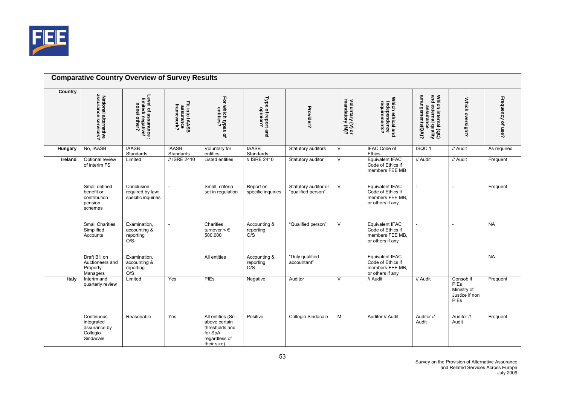

|         |                                                                   | <b>Comparative Country Overview of Survey Results</b>                   |                                           |                                                                                                  |                                  |                                            |                                    |                                                                                    |                                                                               |                                                            |                   |
|---------|-------------------------------------------------------------------|-------------------------------------------------------------------------|-------------------------------------------|--------------------------------------------------------------------------------------------------|----------------------------------|--------------------------------------------|------------------------------------|------------------------------------------------------------------------------------|-------------------------------------------------------------------------------|------------------------------------------------------------|-------------------|
| Country | assural<br>National alternative<br>assurance services?            | Level of assurance :<br>limited/ negative/<br>none/ other?<br>$\cdot$ . | Fit into IAASB<br>assurance<br>framework? | For which types of<br>entities?                                                                  | Type of report and<br>opinion?   | Provider?                                  | Voluntary (V) or<br>mandatory (M)? | Which ethical and<br>independence<br>requirements?                                 | Which internal (QC)<br>and external quality<br>assurance<br>arrangements(QA)? | Which oversight?                                           | Frequency of use? |
| Hungary | No, IAASB                                                         | <b>IAASB</b><br>Standards                                               | <b>IAASB</b><br>Standards                 | Voluntary for<br>entities                                                                        | <b>IAASB</b><br>Standards        | Statutory auditors                         | $\sqrt{2}$                         | IFAC Code of<br>Ethics                                                             | ISQC <sub>1</sub>                                                             | // Audit                                                   | As required       |
| Ireland | Optional review<br>of interim FS                                  | Limited                                                                 | // ISRE 2410                              | Listed entities                                                                                  | // ISRE 2410                     | Statutory auditor                          | $\overline{\mathsf{v}}$            | <b>Equivalent IFAC</b><br>Code of Ethics if<br>members FEE MB                      | // Audit                                                                      | // Audit                                                   | Frequent          |
|         | Small defined<br>benefit or<br>contribution<br>pension<br>schemes | Conclusion<br>required by law:<br>specific inquiries                    |                                           | Small, criteria<br>set in regulation                                                             | Report on<br>specific inquiries  | Statutory auditor or<br>"qualified person" | $\mathsf{V}$                       | <b>Equivalent IFAC</b><br>Code of Ethics if<br>members FEE MB,<br>or others if any |                                                                               |                                                            | Frequent          |
|         | <b>Small Charities</b><br>Simplified<br>Accounts                  | Examination,<br>accounting &<br>reporting<br>O/S                        |                                           | Charities<br>turnover $\leq \epsilon$<br>500.000                                                 | Accounting &<br>reporting<br>O/S | "Qualified person"                         | V                                  | <b>Equivalent IFAC</b><br>Code of Ethics if<br>members FEE MB,<br>or others if any |                                                                               |                                                            | <b>NA</b>         |
|         | Draft Bill on<br>Auctioneers and<br>Property<br>Managers          | Examination.<br>accounting &<br>reporting<br>O/S                        |                                           | All entities                                                                                     | Accounting &<br>reporting<br>O/S | "Duly qualified<br>accountant"             |                                    | <b>Equivalent IFAC</b><br>Code of Ethics if<br>members FEE MB,<br>or others if any |                                                                               |                                                            | <b>NA</b>         |
| Italy   | Interim and<br>quarterly review                                   | Limited                                                                 | Yes                                       | PIEs                                                                                             | Negative                         | Auditor                                    | V                                  | // Audit                                                                           | // Audit                                                                      | Consob if<br>PIEs<br>Ministry of<br>Justice if non<br>PIEs | Frequent          |
|         | Continuous<br>integrated<br>assurance by<br>Collegio<br>Sindacale | Reasonable                                                              | Yes                                       | All entities (Srl<br>above certain<br>thresholds and<br>for SpA<br>regardless of<br>their size). | Positive                         | Collegio Sindacale                         | M                                  | Auditor // Audit                                                                   | Auditor //<br>Audit                                                           | Auditor //<br>Audit                                        | Frequent          |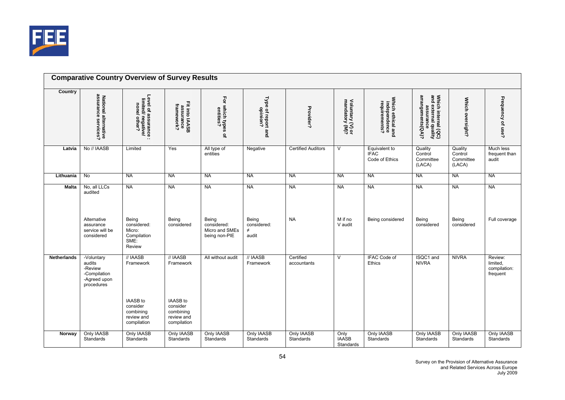

|                    |                                                                               | <b>Comparative Country Overview of Survey Results</b>                               |                                                                              |                                                         |                                         |                           |                                    |                                                    |                                                                                 |                                           |                                                 |
|--------------------|-------------------------------------------------------------------------------|-------------------------------------------------------------------------------------|------------------------------------------------------------------------------|---------------------------------------------------------|-----------------------------------------|---------------------------|------------------------------------|----------------------------------------------------|---------------------------------------------------------------------------------|-------------------------------------------|-------------------------------------------------|
| Country            | assura<br>National alternative<br>assurance services?                         | Level of assurance :<br>limited/ negative/<br>none/ other?<br>$\ddotsc$             | Fit into IAASB<br>assurance<br>framework?                                    | For which types of<br>entities?                         | Type of report and<br>opinion?          | Provider?                 | Voluntary (V) or<br>mandatory (M)? | Which ethical and<br>independence<br>requirements? | Which internal $(QC)$<br>and external quality<br>assurance<br>arrangements(QA)? | Which oversight?                          | Frequency of use?                               |
| Latvia             | No // IAASB                                                                   | Limited                                                                             | Yes                                                                          | All type of<br>entities                                 | Negative                                | <b>Certified Auditors</b> | $\vee$                             | Equivalent to<br><b>IFAC</b><br>Code of Ethics     | Quality<br>Control<br>Committee<br>(LACA)                                       | Quality<br>Control<br>Committee<br>(LACA) | Much less<br>frequent than<br>audit             |
| Lithuania          | $\overline{N}$                                                                | <b>NA</b>                                                                           | <b>NA</b>                                                                    | <b>NA</b>                                               | <b>NA</b>                               | <b>NA</b>                 | <b>NA</b>                          | NA                                                 | <b>NA</b>                                                                       | <b>NA</b>                                 | <b>NA</b>                                       |
| <b>Malta</b>       | No, all LLCs<br>audited                                                       | <b>NA</b>                                                                           | <b>NA</b>                                                                    | <b>NA</b>                                               | <b>NA</b>                               | <b>NA</b>                 | <b>NA</b>                          | <b>NA</b>                                          | <b>NA</b>                                                                       | <b>NA</b>                                 | <b>NA</b>                                       |
|                    | Alternative<br>assurance<br>service will be<br>considered                     | Being<br>considered:<br>Micro:<br>Compilation<br>SME:<br>Review                     | Being<br>considered                                                          | Being<br>considered:<br>Micro and SMEs<br>being non-PIE | Being<br>considered:<br>$\neq$<br>audit | <b>NA</b>                 | M if no<br>V audit                 | Being considered                                   | Being<br>considered                                                             | Being<br>considered                       | Full coverage                                   |
| <b>Netherlands</b> | -Voluntary<br>audits<br>-Review<br>-Compilation<br>-Agreed upon<br>procedures | // IAASB<br>Framework                                                               | // IAASB<br>Framework                                                        | All without audit                                       | // IAASB<br>Framework                   | Certified<br>accountants  | $\overline{V}$                     | IFAC Code of<br>Ethics                             | ISQC1 and<br><b>NIVRA</b>                                                       | <b>NIVRA</b>                              | Review:<br>limited,<br>compilation:<br>frequent |
| Norway             | Only IAASB                                                                    | <b>IAASB</b> to<br>consider<br>combining<br>review and<br>compilation<br>Only IAASB | IAASB to<br>consider<br>combining<br>review and<br>compilation<br>Only IAASB | Only IAASB                                              | Only IAASB                              | <b>Only IAASB</b>         |                                    | Only IAASB                                         | Only IAASB                                                                      | <b>Only IAASB</b>                         | Only IAASB                                      |
|                    | Standards                                                                     | Standards                                                                           | Standards                                                                    | Standards                                               | Standards                               | Standards                 | Only<br>IAASB<br>Standards         | Standards                                          | Standards                                                                       | Standards                                 | Standards                                       |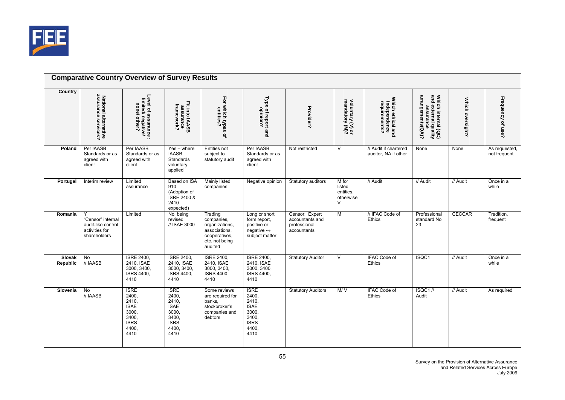

| Country                          |                                                                                |                                                                                                |                                                                                                |                                                                                                        |                                                                                                |                                                                  |                                                     |                                                    |                                                                               |                  |                               |
|----------------------------------|--------------------------------------------------------------------------------|------------------------------------------------------------------------------------------------|------------------------------------------------------------------------------------------------|--------------------------------------------------------------------------------------------------------|------------------------------------------------------------------------------------------------|------------------------------------------------------------------|-----------------------------------------------------|----------------------------------------------------|-------------------------------------------------------------------------------|------------------|-------------------------------|
|                                  | assurance<br>National alternative<br>assurance services?                       | Level of assurance :<br>limited/ negative/<br>none/ other?                                     | Fit into IAASB<br>assurance<br>framework?                                                      | For which types of<br>entities?                                                                        | Type of report and<br>opinion?                                                                 | Provider?                                                        | Voluntary (V) or<br>mandatory (M)?                  | Which ethical and<br>independence<br>requirements? | Which internal (QC)<br>and external quality<br>assurance<br>arrangements(QA)? | Which oversight? | Frequency of use?             |
| Poland                           | Per IAASB<br>Standards or as<br>agreed with<br>client                          | Per IAASB<br>Standards or as<br>agreed with<br>client                                          | $Yes - where$<br><b>IAASB</b><br>Standards<br>voluntary<br>applied                             | <b>Entities not</b><br>subject to<br>statutory audit                                                   | Per IAASB<br>Standards or as<br>agreed with<br>client                                          | Not restricted                                                   | V                                                   | // Audit if chartered<br>auditor, NA if other      | None                                                                          | None             | As requested,<br>not frequent |
| Portugal                         | Interim review                                                                 | Limited<br>assurance                                                                           | Based on ISA<br>910<br>(Adoption of<br>ISRE 2400 &<br>2410<br>expected)                        | <b>Mainly listed</b><br>companies                                                                      | Negative opinion                                                                               | Statutory auditors                                               | M for<br>listed<br>entities.<br>otherwise<br>$\vee$ | // Audit                                           | // Audit                                                                      | // Audit         | Once in a<br>while            |
| Romania                          | Y<br>"Censor" internal<br>audit-like control<br>activities for<br>shareholders | Limited                                                                                        | No, being<br>revised<br>// ISAE 3000                                                           | Trading<br>companies,<br>organizations,<br>associations,<br>cooperatives,<br>etc. not being<br>audited | Long or short<br>form report,<br>positive or<br>negative $\leftrightarrow$<br>subject matter   | Censor: Expert<br>accountants and<br>professional<br>accountants | $\overline{M}$                                      | // IFAC Code of<br><b>Ethics</b>                   | Professional<br>standard No<br>23                                             | <b>CECCAR</b>    | Tradition,<br>frequent        |
| <b>Slovak</b><br><b>Republic</b> | $\overline{N}$<br>// IAASB                                                     | <b>ISRE 2400,</b><br>2410, ISAE<br>3000, 3400,<br>ISRS 4400,<br>4410                           | <b>ISRE 2400,</b><br>2410. ISAE<br>3000, 3400,<br>ISRS 4400,<br>4410                           | <b>ISRE 2400,</b><br>2410, ISAE<br>3000, 3400,<br>ISRS 4400,<br>4410                                   | <b>ISRE 2400,</b><br>2410. ISAE<br>3000, 3400,<br>ISRS 4400,<br>4410                           | <b>Statutory Auditor</b>                                         | $\overline{V}$                                      | <b>IFAC Code of</b><br>Ethics                      | ISQC1                                                                         | // Audit         | Once in a<br>while            |
| Slovenia                         | $\overline{N}$<br>// IAASB                                                     | <b>ISRE</b><br>2400,<br>2410,<br><b>ISAE</b><br>3000,<br>3400,<br><b>ISRS</b><br>4400,<br>4410 | <b>ISRE</b><br>2400,<br>2410,<br><b>ISAE</b><br>3000,<br>3400,<br><b>ISRS</b><br>4400,<br>4410 | Some reviews<br>are required for<br>banks.<br>stockbroker's<br>companies and<br>debtors                | <b>ISRE</b><br>2400,<br>2410,<br><b>ISAE</b><br>3000,<br>3400,<br><b>ISRS</b><br>4400.<br>4410 | <b>Statutory Auditors</b>                                        | M/V                                                 | <b>IFAC Code of</b><br>Ethics                      | ISQC1 //<br>Audit                                                             | // Audit         | As required                   |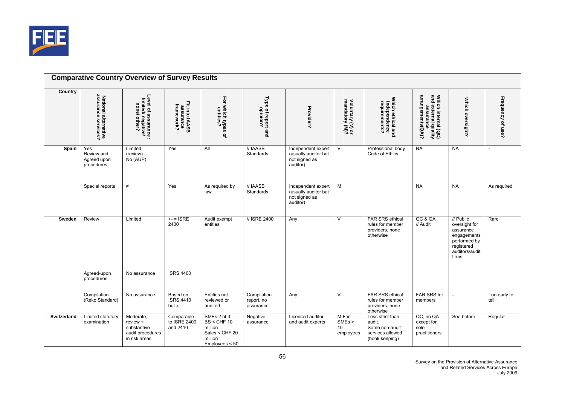

|                    | <b>Comparative Country Overview of Survey Results</b>    |                                                                           |                                            |                                                                                         |                                        |                                                                         |                                                |                                                                                    |                                                                               |                                                                                                                 |                      |
|--------------------|----------------------------------------------------------|---------------------------------------------------------------------------|--------------------------------------------|-----------------------------------------------------------------------------------------|----------------------------------------|-------------------------------------------------------------------------|------------------------------------------------|------------------------------------------------------------------------------------|-------------------------------------------------------------------------------|-----------------------------------------------------------------------------------------------------------------|----------------------|
| Country            | assurance<br>National alternative<br>assurance services? | Level of assurance :<br>limited/ negative/<br>none/ other?                | Fit into IAASB<br>assurance<br>framework?  | For which types of<br>entities?                                                         | Type of report and<br>opinion?         | Provider?                                                               | Voluntary (V) or<br>mandatory (M)?             | Which ethical and<br>independence<br>requirements?                                 | Which internal (QC)<br>and external quality<br>assurance<br>arrangements(QA)? | Which oversight?                                                                                                | Frequency of use?    |
| Spain              | Yes<br>Review and<br>Agreed upon<br>procedures           | Limited<br>(review)<br>No (AUP)                                           | Yes                                        | All                                                                                     | // IAASB<br><b>Standards</b>           | Independent expert<br>(usually auditor but<br>not signed as<br>auditor) | $\overline{\mathsf{v}}$                        | Professional body<br>Code of Ethics                                                | <b>NA</b>                                                                     | <b>NA</b>                                                                                                       |                      |
|                    | Special reports                                          | $\neq$                                                                    | Yes                                        | As required by<br>law                                                                   | // IAASB<br>Standards                  | Independent expert<br>(usually auditor but<br>not signed as<br>auditor) | M                                              |                                                                                    | <b>NA</b>                                                                     | <b>NA</b>                                                                                                       | As required          |
| Sweden             | Review                                                   | Limited                                                                   | $+- = ISRE$<br>2400                        | Audit exempt<br>entities                                                                | // ISRE 2400                           | Any                                                                     | $\vee$                                         | FAR SRS ethical<br>rules for member<br>providers, none<br>otherwise                | QC & QA<br>// Audit                                                           | // Public<br>oversight for<br>assurance<br>engagements<br>performed by<br>registered<br>auditors/audit<br>firms | Rare                 |
|                    | Agreed-upon<br>procedures                                | No assurance                                                              | <b>ISRS 4400</b>                           |                                                                                         |                                        |                                                                         |                                                |                                                                                    |                                                                               |                                                                                                                 |                      |
|                    | Compilation<br>(Reko Standard)                           | No assurance                                                              | Based on<br><b>ISRS 4410</b><br>but $\neq$ | Entities not<br>reviewed or<br>audited                                                  | Compilation<br>report, no<br>assurance | Any                                                                     | $\vee$                                         | FAR SRS ethical<br>rules for member<br>providers, none<br>otherwise                | FAR SRS for<br>members                                                        |                                                                                                                 | Too early to<br>tell |
| <b>Switzerland</b> | Limited statutory<br>examination                         | Moderate,<br>review +<br>substantive<br>audit procedures<br>in risk areas | Comparable<br>to ISRE 2400<br>and 2410     | SMEs 2 of 3:<br>$BS <$ CHF 10<br>million<br>Sales < CHF 20<br>million<br>Employees < 50 | Negative<br>assurance                  | Licensed auditor<br>and audit experts                                   | M For<br>SME <sub>s</sub> ><br>10<br>employees | Less strict than<br>audit.<br>Some non-audit<br>services allowed<br>(book keeping) | QC, no QA<br>except for<br>sole<br>practitioners                              | See before                                                                                                      | Regular              |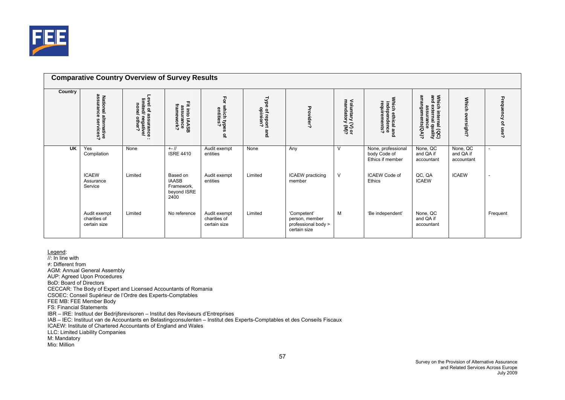

|           |                                                          | <b>Comparative Country Overview of Survey Results</b>                 |                                                               |                                              |                                               |                                                                      |                                    |                                                        |                                                                               |                                     |                          |
|-----------|----------------------------------------------------------|-----------------------------------------------------------------------|---------------------------------------------------------------|----------------------------------------------|-----------------------------------------------|----------------------------------------------------------------------|------------------------------------|--------------------------------------------------------|-------------------------------------------------------------------------------|-------------------------------------|--------------------------|
| Country   | assurance<br>National alternative<br>assurance services? | Level of assurance<br>limited/ negative/<br>none/ other?<br>$\cdot$ . | Fit into IAASB<br>assurance<br>framework?                     | Ęōr<br>which types<br>entities?<br>٩         | <b>Type</b><br>a of report<br>opinion?<br>and | Provider?                                                            | Voluntary (V) or<br>mandatory (M)? | Which ethical and<br>independence<br>requirements?     | Which internal (QC)<br>and external quality<br>assurance<br>arrangements(QA)? | <b>Which</b><br>sight?              | Frequency of use?        |
| <b>UK</b> | Yes<br>Compilation                                       | None                                                                  | $+ - 11$<br><b>ISRE 4410</b>                                  | Audit exempt<br>entities                     | None                                          | Any                                                                  | V                                  | None, professional<br>body Code of<br>Ethics if member | None, QC<br>and QA if<br>accountant                                           | None, QC<br>and QA if<br>accountant | $\overline{\phantom{a}}$ |
|           | <b>ICAEW</b><br>Assurance<br>Service                     | Limited                                                               | Based on<br><b>IAASB</b><br>Framework,<br>beyond ISRE<br>2400 | Audit exempt<br>entities                     | Limited                                       | <b>ICAEW</b> practicing<br>member                                    | V                                  | <b>ICAEW Code of</b><br>Ethics                         | QC, QA<br><b>ICAEW</b>                                                        | <b>ICAEW</b>                        | ۰                        |
|           | Audit exempt<br>charities of<br>certain size             | Limited                                                               | No reference                                                  | Audit exempt<br>charities of<br>certain size | Limited                                       | 'Competent'<br>person, member<br>professional body ><br>certain size | M                                  | 'Be independent'                                       | None, QC<br>and QA if<br>accountant                                           |                                     | Frequent                 |

<u>Legend</u>:<br>//: In line with ≠: Different from AGM: Annual General Assembly AUP: Agreed Upon Procedures BoD: Board of Directors CECCAR: The Body of Expert and Licensed Accountants of Romania CSOEC: Conseil Supérieur de l'Ordre des Experts-Comptables FEE MB: FEE Member Body FS: Financial Statements IBR – IRE: Instituut der Bedrijfsrevisoren – Institut des Reviseurs d'Entreprises IAB – IEC: Instituut van de Accountants en Belastingconsulenten – Institut des Experts-Comptables et des Conseils Fiscaux ICAEW: Institute of Chartered Accountants of England and Wales LLC: Limited Liability Companies M: Mandatory Mio: Million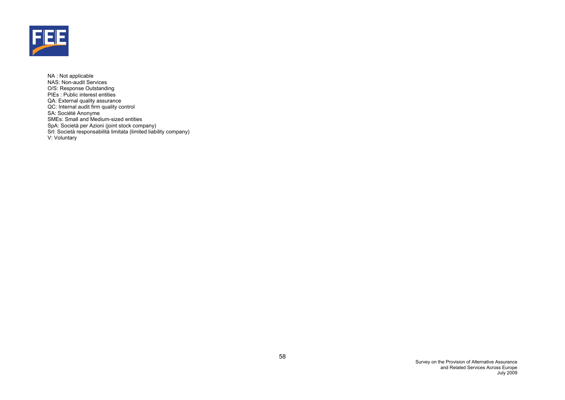

NA : Not applicable NAS: Non-audit Services O/S: Response Outstanding PIEs : Public interest entities QA: External quality assurance QC: Internal audit firm quality control SA: Société Anonyme SMEs: Small and Medium-sized entities SpA: Società per Azioni (joint stock company) Srl: Società responsabilità limitata (limited liability company) V: Voluntary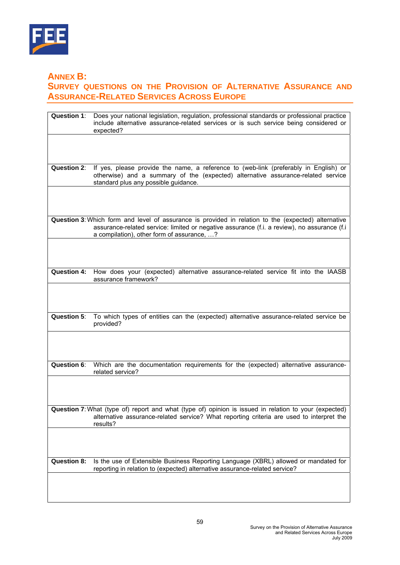

**ANNEX B:** 

# **SURVEY QUESTIONS ON THE PROVISION OF ALTERNATIVE ASSURANCE AND ASSURANCE-RELATED SERVICES ACROSS EUROPE**

| <b>Question 1:</b> | Does your national legislation, regulation, professional standards or professional practice<br>include alternative assurance-related services or is such service being considered or<br>expected?                                                |
|--------------------|--------------------------------------------------------------------------------------------------------------------------------------------------------------------------------------------------------------------------------------------------|
|                    |                                                                                                                                                                                                                                                  |
| <b>Question 2:</b> | If yes, please provide the name, a reference to (web-link (preferably in English) or<br>otherwise) and a summary of the (expected) alternative assurance-related service<br>standard plus any possible guidance.                                 |
|                    |                                                                                                                                                                                                                                                  |
|                    | Question 3: Which form and level of assurance is provided in relation to the (expected) alternative<br>assurance-related service: limited or negative assurance (f.i. a review), no assurance (f.i<br>a compilation), other form of assurance, ? |
|                    |                                                                                                                                                                                                                                                  |
| <b>Question 4:</b> | How does your (expected) alternative assurance-related service fit into the IAASB<br>assurance framework?                                                                                                                                        |
|                    |                                                                                                                                                                                                                                                  |
| Question 5:        | To which types of entities can the (expected) alternative assurance-related service be<br>provided?                                                                                                                                              |
|                    |                                                                                                                                                                                                                                                  |
| <b>Question 6:</b> | Which are the documentation requirements for the (expected) alternative assurance-<br>related service?                                                                                                                                           |
|                    |                                                                                                                                                                                                                                                  |
|                    | Question 7: What (type of) report and what (type of) opinion is issued in relation to your (expected)<br>alternative assurance-related service? What reporting criteria are used to interpret the<br>results?                                    |
|                    |                                                                                                                                                                                                                                                  |
| <b>Question 8:</b> | Is the use of Extensible Business Reporting Language (XBRL) allowed or mandated for<br>reporting in relation to (expected) alternative assurance-related service?                                                                                |
|                    |                                                                                                                                                                                                                                                  |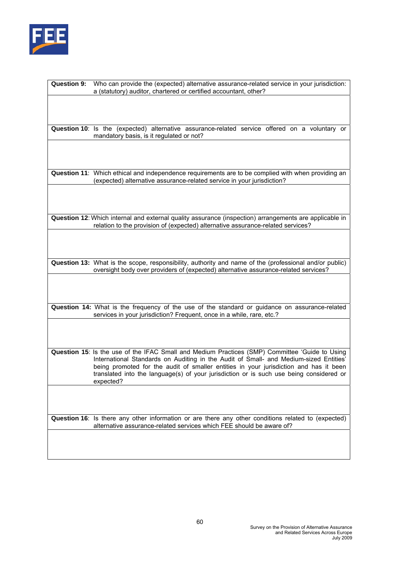

| <b>Question 9:</b> | Who can provide the (expected) alternative assurance-related service in your jurisdiction:                                                                                     |
|--------------------|--------------------------------------------------------------------------------------------------------------------------------------------------------------------------------|
|                    | a (statutory) auditor, chartered or certified accountant, other?                                                                                                               |
|                    |                                                                                                                                                                                |
|                    |                                                                                                                                                                                |
|                    |                                                                                                                                                                                |
|                    | Question 10: Is the (expected) alternative assurance-related service offered on a voluntary or                                                                                 |
|                    | mandatory basis, is it regulated or not?                                                                                                                                       |
|                    |                                                                                                                                                                                |
|                    |                                                                                                                                                                                |
|                    |                                                                                                                                                                                |
|                    | Question 11: Which ethical and independence requirements are to be complied with when providing an<br>(expected) alternative assurance-related service in your jurisdiction?   |
|                    |                                                                                                                                                                                |
|                    |                                                                                                                                                                                |
|                    |                                                                                                                                                                                |
|                    | Question 12: Which internal and external quality assurance (inspection) arrangements are applicable in                                                                         |
|                    | relation to the provision of (expected) alternative assurance-related services?                                                                                                |
|                    |                                                                                                                                                                                |
|                    |                                                                                                                                                                                |
|                    |                                                                                                                                                                                |
|                    | Question 13: What is the scope, responsibility, authority and name of the (professional and/or public)                                                                         |
|                    | oversight body over providers of (expected) alternative assurance-related services?                                                                                            |
|                    |                                                                                                                                                                                |
|                    |                                                                                                                                                                                |
|                    | Question 14: What is the frequency of the use of the standard or guidance on assurance-related                                                                                 |
|                    | services in your jurisdiction? Frequent, once in a while, rare, etc.?                                                                                                          |
|                    |                                                                                                                                                                                |
|                    |                                                                                                                                                                                |
|                    |                                                                                                                                                                                |
|                    | Question 15: Is the use of the IFAC Small and Medium Practices (SMP) Committee 'Guide to Using                                                                                 |
|                    | International Standards on Auditing in the Audit of Small- and Medium-sized Entities'<br>being promoted for the audit of smaller entities in your jurisdiction and has it been |
|                    | translated into the language(s) of your jurisdiction or is such use being considered or                                                                                        |
|                    | expected?                                                                                                                                                                      |
|                    |                                                                                                                                                                                |
|                    |                                                                                                                                                                                |
|                    |                                                                                                                                                                                |
|                    | Question 16: Is there any other information or are there any other conditions related to (expected)<br>alternative assurance-related services which FEE should be aware of?    |
|                    |                                                                                                                                                                                |
|                    |                                                                                                                                                                                |
|                    |                                                                                                                                                                                |
|                    |                                                                                                                                                                                |